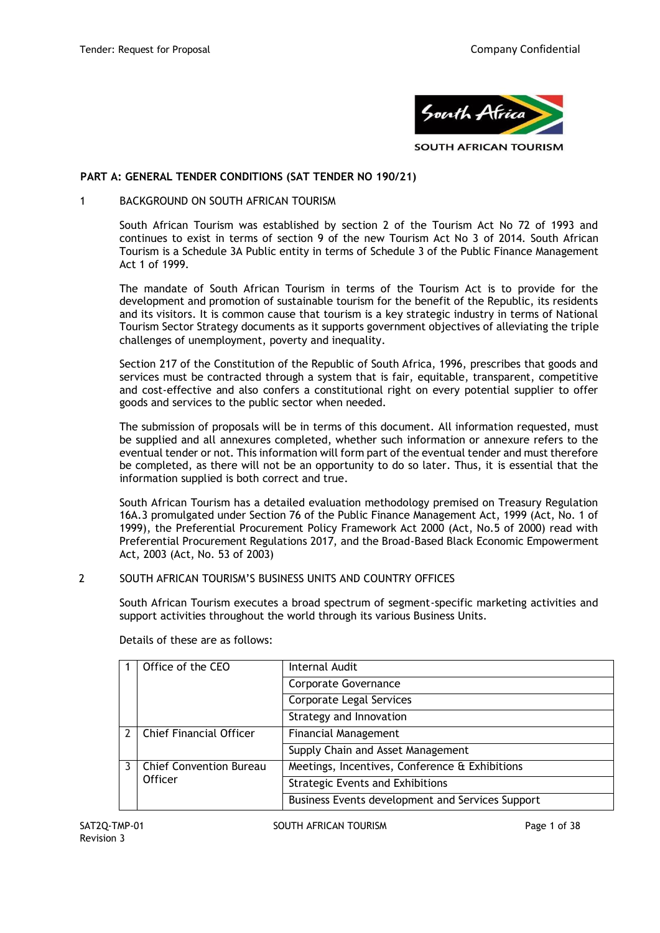

**SOUTH AFRICAN TOURISM** 

### **PART A: GENERAL TENDER CONDITIONS (SAT TENDER NO 190/21)**

### 1 BACKGROUND ON SOUTH AFRICAN TOURISM

South African Tourism was established by section 2 of the Tourism Act No 72 of 1993 and continues to exist in terms of section 9 of the new Tourism Act No 3 of 2014. South African Tourism is a Schedule 3A Public entity in terms of Schedule 3 of the Public Finance Management Act 1 of 1999.

The mandate of South African Tourism in terms of the Tourism Act is to provide for the development and promotion of sustainable tourism for the benefit of the Republic, its residents and its visitors. It is common cause that tourism is a key strategic industry in terms of National Tourism Sector Strategy documents as it supports government objectives of alleviating the triple challenges of unemployment, poverty and inequality.

Section 217 of the Constitution of the Republic of South Africa, 1996, prescribes that goods and services must be contracted through a system that is fair, equitable, transparent, competitive and cost-effective and also confers a constitutional right on every potential supplier to offer goods and services to the public sector when needed.

The submission of proposals will be in terms of this document. All information requested, must be supplied and all annexures completed, whether such information or annexure refers to the eventual tender or not. This information will form part of the eventual tender and must therefore be completed, as there will not be an opportunity to do so later. Thus, it is essential that the information supplied is both correct and true.

South African Tourism has a detailed evaluation methodology premised on Treasury Regulation 16A.3 promulgated under Section 76 of the Public Finance Management Act, 1999 (Act, No. 1 of 1999), the Preferential Procurement Policy Framework Act 2000 (Act, No.5 of 2000) read with Preferential Procurement Regulations 2017, and the Broad-Based Black Economic Empowerment Act, 2003 (Act, No. 53 of 2003)

### 2 SOUTH AFRICAN TOURISM'S BUSINESS UNITS AND COUNTRY OFFICES

South African Tourism executes a broad spectrum of segment-specific marketing activities and support activities throughout the world through its various Business Units.

| Office of the CEO              | Internal Audit                                   |
|--------------------------------|--------------------------------------------------|
|                                | Corporate Governance                             |
|                                | Corporate Legal Services                         |
|                                | Strategy and Innovation                          |
| <b>Chief Financial Officer</b> | <b>Financial Management</b>                      |
|                                | Supply Chain and Asset Management                |
| <b>Chief Convention Bureau</b> | Meetings, Incentives, Conference & Exhibitions   |
| <b>Officer</b>                 | <b>Strategic Events and Exhibitions</b>          |
|                                | Business Events development and Services Support |

Details of these are as follows: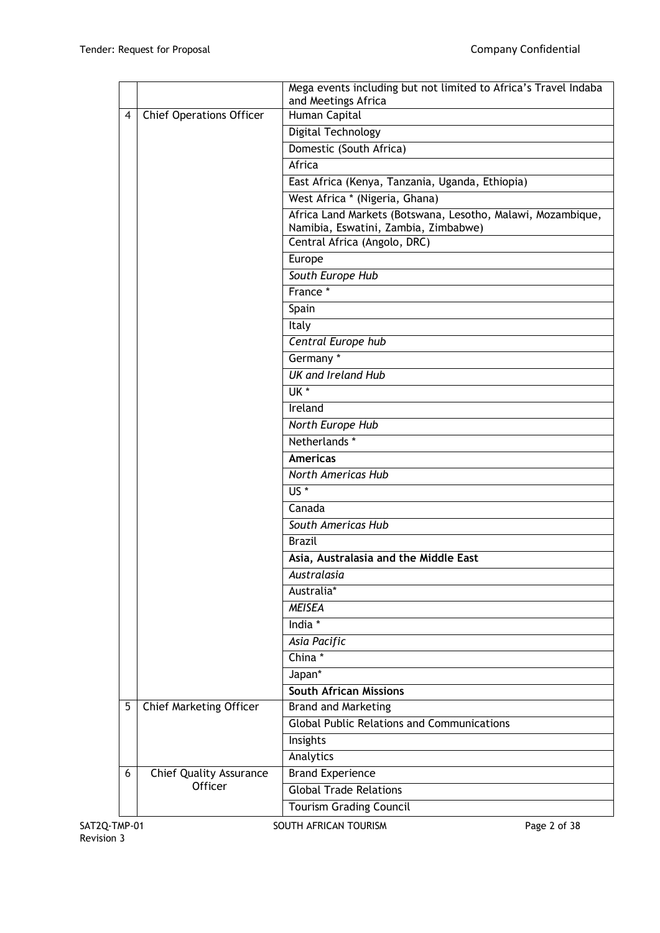|                                |                                 | Mega events including but not limited to Africa's Travel Indaba                                     |  |  |  |  |  |
|--------------------------------|---------------------------------|-----------------------------------------------------------------------------------------------------|--|--|--|--|--|
| 4                              | <b>Chief Operations Officer</b> | and Meetings Africa<br>Human Capital                                                                |  |  |  |  |  |
|                                |                                 |                                                                                                     |  |  |  |  |  |
|                                |                                 | Digital Technology                                                                                  |  |  |  |  |  |
|                                |                                 | Domestic (South Africa)                                                                             |  |  |  |  |  |
|                                |                                 | Africa                                                                                              |  |  |  |  |  |
|                                |                                 | East Africa (Kenya, Tanzania, Uganda, Ethiopia)                                                     |  |  |  |  |  |
|                                |                                 | West Africa * (Nigeria, Ghana)                                                                      |  |  |  |  |  |
|                                |                                 | Africa Land Markets (Botswana, Lesotho, Malawi, Mozambique,<br>Namibia, Eswatini, Zambia, Zimbabwe) |  |  |  |  |  |
|                                |                                 | Central Africa (Angolo, DRC)                                                                        |  |  |  |  |  |
|                                |                                 | Europe                                                                                              |  |  |  |  |  |
|                                |                                 | South Europe Hub                                                                                    |  |  |  |  |  |
|                                |                                 | France *                                                                                            |  |  |  |  |  |
|                                |                                 | Spain                                                                                               |  |  |  |  |  |
|                                |                                 | Italy                                                                                               |  |  |  |  |  |
|                                |                                 | Central Europe hub                                                                                  |  |  |  |  |  |
|                                |                                 | Germany*                                                                                            |  |  |  |  |  |
|                                |                                 | <b>UK and Ireland Hub</b>                                                                           |  |  |  |  |  |
|                                |                                 | $\overline{UK}$                                                                                     |  |  |  |  |  |
|                                |                                 | Ireland                                                                                             |  |  |  |  |  |
|                                |                                 | North Europe Hub                                                                                    |  |  |  |  |  |
|                                |                                 | Netherlands *                                                                                       |  |  |  |  |  |
|                                |                                 | <b>Americas</b>                                                                                     |  |  |  |  |  |
|                                |                                 | <b>North Americas Hub</b>                                                                           |  |  |  |  |  |
|                                |                                 | $\overline{US}$ *                                                                                   |  |  |  |  |  |
|                                |                                 | Canada                                                                                              |  |  |  |  |  |
|                                |                                 | South Americas Hub                                                                                  |  |  |  |  |  |
|                                |                                 | <b>Brazil</b>                                                                                       |  |  |  |  |  |
|                                |                                 | Asia, Australasia and the Middle East                                                               |  |  |  |  |  |
|                                |                                 | Australasia                                                                                         |  |  |  |  |  |
|                                |                                 | Australia*                                                                                          |  |  |  |  |  |
|                                |                                 | <b>MEISEA</b>                                                                                       |  |  |  |  |  |
|                                |                                 | India *                                                                                             |  |  |  |  |  |
|                                |                                 | Asia Pacific                                                                                        |  |  |  |  |  |
|                                |                                 | China *                                                                                             |  |  |  |  |  |
|                                |                                 | $Japan^*$                                                                                           |  |  |  |  |  |
|                                |                                 | <b>South African Missions</b>                                                                       |  |  |  |  |  |
| 5                              | <b>Chief Marketing Officer</b>  | <b>Brand and Marketing</b>                                                                          |  |  |  |  |  |
|                                |                                 | <b>Global Public Relations and Communications</b>                                                   |  |  |  |  |  |
|                                |                                 | Insights                                                                                            |  |  |  |  |  |
|                                |                                 | Analytics                                                                                           |  |  |  |  |  |
| 6                              | <b>Chief Quality Assurance</b>  | <b>Brand Experience</b>                                                                             |  |  |  |  |  |
|                                | Officer                         | <b>Global Trade Relations</b>                                                                       |  |  |  |  |  |
| <b>Tourism Grading Council</b> |                                 |                                                                                                     |  |  |  |  |  |
|                                |                                 |                                                                                                     |  |  |  |  |  |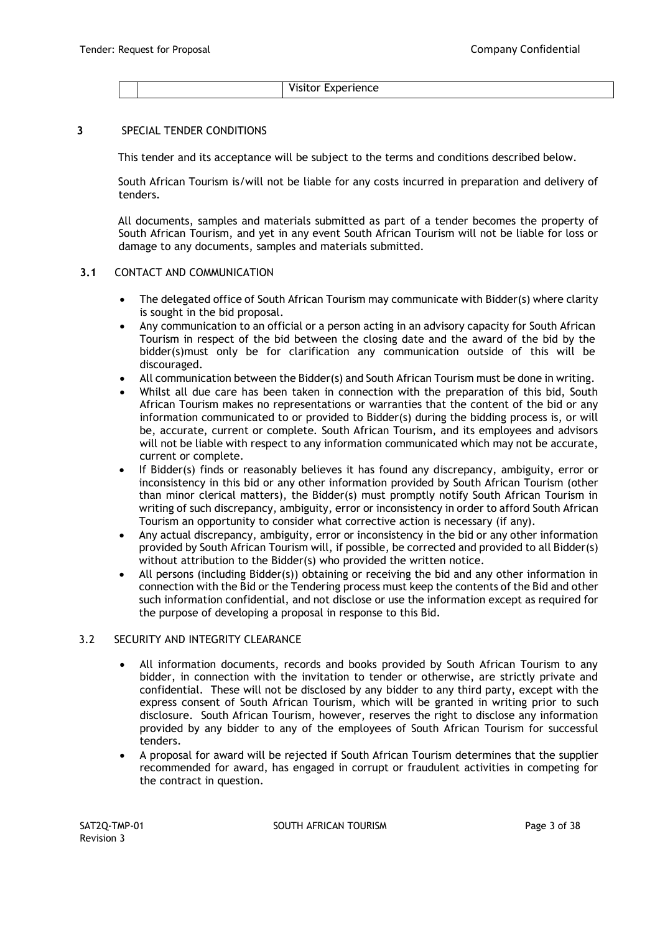Visitor Experience

#### **3** SPECIAL TENDER CONDITIONS

This tender and its acceptance will be subject to the terms and conditions described below.

South African Tourism is/will not be liable for any costs incurred in preparation and delivery of tenders.

All documents, samples and materials submitted as part of a tender becomes the property of South African Tourism, and yet in any event South African Tourism will not be liable for loss or damage to any documents, samples and materials submitted.

#### **3.1** CONTACT AND COMMUNICATION

- The delegated office of South African Tourism may communicate with Bidder(s) where clarity is sought in the bid proposal.
- Any communication to an official or a person acting in an advisory capacity for South African Tourism in respect of the bid between the closing date and the award of the bid by the bidder(s)must only be for clarification any communication outside of this will be discouraged.
- All communication between the Bidder(s) and South African Tourism must be done in writing.
- Whilst all due care has been taken in connection with the preparation of this bid, South African Tourism makes no representations or warranties that the content of the bid or any information communicated to or provided to Bidder(s) during the bidding process is, or will be, accurate, current or complete. South African Tourism, and its employees and advisors will not be liable with respect to any information communicated which may not be accurate, current or complete.
- If Bidder(s) finds or reasonably believes it has found any discrepancy, ambiguity, error or inconsistency in this bid or any other information provided by South African Tourism (other than minor clerical matters), the Bidder(s) must promptly notify South African Tourism in writing of such discrepancy, ambiguity, error or inconsistency in order to afford South African Tourism an opportunity to consider what corrective action is necessary (if any).
- Any actual discrepancy, ambiguity, error or inconsistency in the bid or any other information provided by South African Tourism will, if possible, be corrected and provided to all Bidder(s) without attribution to the Bidder(s) who provided the written notice.
- All persons (including Bidder(s)) obtaining or receiving the bid and any other information in connection with the Bid or the Tendering process must keep the contents of the Bid and other such information confidential, and not disclose or use the information except as required for the purpose of developing a proposal in response to this Bid.

#### 3.2 SECURITY AND INTEGRITY CLEARANCE

- All information documents, records and books provided by South African Tourism to any bidder, in connection with the invitation to tender or otherwise, are strictly private and confidential. These will not be disclosed by any bidder to any third party, except with the express consent of South African Tourism, which will be granted in writing prior to such disclosure. South African Tourism, however, reserves the right to disclose any information provided by any bidder to any of the employees of South African Tourism for successful tenders.
- A proposal for award will be rejected if South African Tourism determines that the supplier recommended for award, has engaged in corrupt or fraudulent activities in competing for the contract in question.

SAT2O-TMP-01 SOUTH AFRICAN TOURISM SAT2O-TMP-01 Page 3 of 38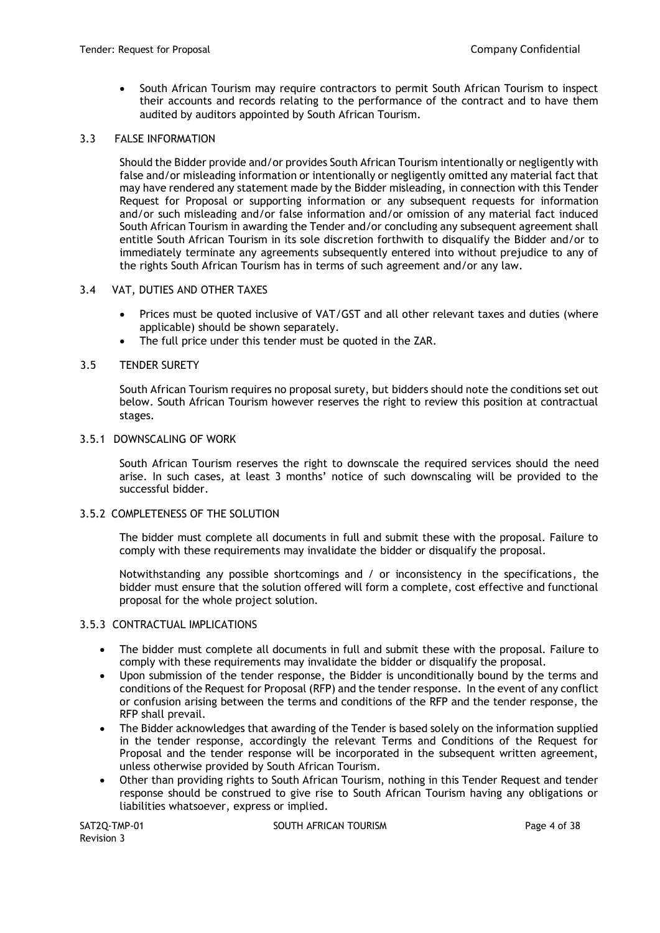• South African Tourism may require contractors to permit South African Tourism to inspect their accounts and records relating to the performance of the contract and to have them audited by auditors appointed by South African Tourism.

#### 3.3 FALSE INFORMATION

Should the Bidder provide and/or provides South African Tourism intentionally or negligently with false and/or misleading information or intentionally or negligently omitted any material fact that may have rendered any statement made by the Bidder misleading, in connection with this Tender Request for Proposal or supporting information or any subsequent requests for information and/or such misleading and/or false information and/or omission of any material fact induced South African Tourism in awarding the Tender and/or concluding any subsequent agreement shall entitle South African Tourism in its sole discretion forthwith to disqualify the Bidder and/or to immediately terminate any agreements subsequently entered into without prejudice to any of the rights South African Tourism has in terms of such agreement and/or any law.

#### 3.4 VAT, DUTIES AND OTHER TAXES

- Prices must be quoted inclusive of VAT/GST and all other relevant taxes and duties (where applicable) should be shown separately.
- The full price under this tender must be quoted in the ZAR.

#### 3.5 TENDER SURETY

South African Tourism requires no proposal surety, but bidders should note the conditions set out below. South African Tourism however reserves the right to review this position at contractual stages.

#### 3.5.1 DOWNSCALING OF WORK

South African Tourism reserves the right to downscale the required services should the need arise. In such cases, at least 3 months' notice of such downscaling will be provided to the successful bidder.

#### 3.5.2 COMPLETENESS OF THE SOLUTION

The bidder must complete all documents in full and submit these with the proposal. Failure to comply with these requirements may invalidate the bidder or disqualify the proposal.

Notwithstanding any possible shortcomings and / or inconsistency in the specifications, the bidder must ensure that the solution offered will form a complete, cost effective and functional proposal for the whole project solution.

#### 3.5.3 CONTRACTUAL IMPLICATIONS

- The bidder must complete all documents in full and submit these with the proposal. Failure to comply with these requirements may invalidate the bidder or disqualify the proposal.
- Upon submission of the tender response, the Bidder is unconditionally bound by the terms and conditions of the Request for Proposal (RFP) and the tender response. In the event of any conflict or confusion arising between the terms and conditions of the RFP and the tender response, the RFP shall prevail.
- The Bidder acknowledges that awarding of the Tender is based solely on the information supplied in the tender response, accordingly the relevant Terms and Conditions of the Request for Proposal and the tender response will be incorporated in the subsequent written agreement, unless otherwise provided by South African Tourism.
- Other than providing rights to South African Tourism, nothing in this Tender Request and tender response should be construed to give rise to South African Tourism having any obligations or liabilities whatsoever, express or implied.

Revision 3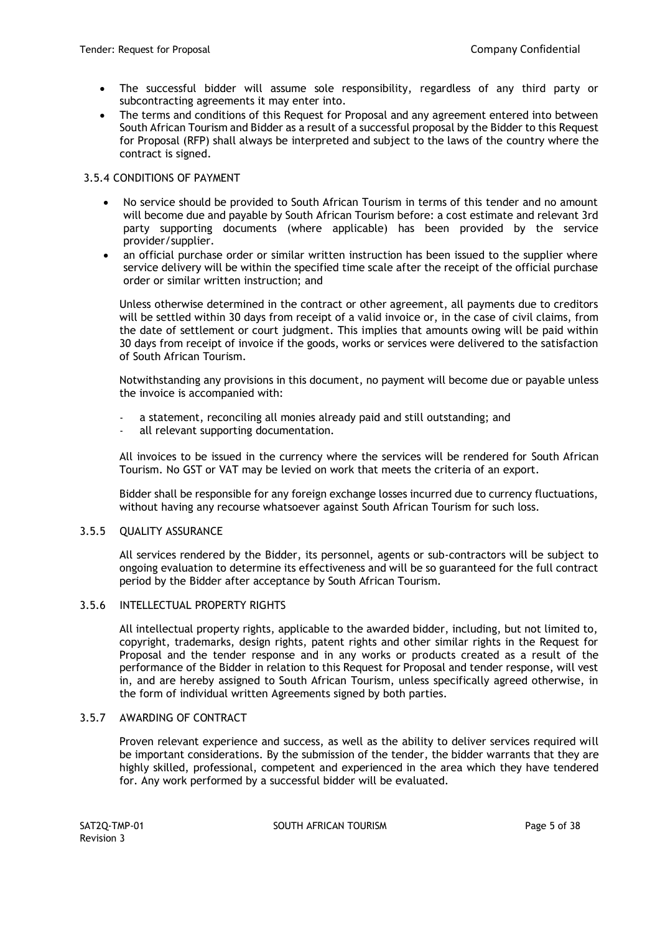- The successful bidder will assume sole responsibility, regardless of any third party or subcontracting agreements it may enter into.
- The terms and conditions of this Request for Proposal and any agreement entered into between South African Tourism and Bidder as a result of a successful proposal by the Bidder to this Request for Proposal (RFP) shall always be interpreted and subject to the laws of the country where the contract is signed.

# 3.5.4 CONDITIONS OF PAYMENT

- No service should be provided to South African Tourism in terms of this tender and no amount will become due and payable by South African Tourism before: a cost estimate and relevant 3rd party supporting documents (where applicable) has been provided by the service provider/supplier.
- an official purchase order or similar written instruction has been issued to the supplier where service delivery will be within the specified time scale after the receipt of the official purchase order or similar written instruction; and

Unless otherwise determined in the contract or other agreement, all payments due to creditors will be settled within 30 days from receipt of a valid invoice or, in the case of civil claims, from the date of settlement or court judgment. This implies that amounts owing will be paid within 30 days from receipt of invoice if the goods, works or services were delivered to the satisfaction of South African Tourism.

Notwithstanding any provisions in this document, no payment will become due or payable unless the invoice is accompanied with:

- a statement, reconciling all monies already paid and still outstanding; and
- all relevant supporting documentation.

All invoices to be issued in the currency where the services will be rendered for South African Tourism. No GST or VAT may be levied on work that meets the criteria of an export.

Bidder shall be responsible for any foreign exchange losses incurred due to currency fluctuations, without having any recourse whatsoever against South African Tourism for such loss.

### 3.5.5 QUALITY ASSURANCE

All services rendered by the Bidder, its personnel, agents or sub-contractors will be subject to ongoing evaluation to determine its effectiveness and will be so guaranteed for the full contract period by the Bidder after acceptance by South African Tourism.

### 3.5.6 INTELLECTUAL PROPERTY RIGHTS

All intellectual property rights, applicable to the awarded bidder, including, but not limited to, copyright, trademarks, design rights, patent rights and other similar rights in the Request for Proposal and the tender response and in any works or products created as a result of the performance of the Bidder in relation to this Request for Proposal and tender response, will vest in, and are hereby assigned to South African Tourism, unless specifically agreed otherwise, in the form of individual written Agreements signed by both parties.

### 3.5.7 AWARDING OF CONTRACT

Proven relevant experience and success, as well as the ability to deliver services required will be important considerations. By the submission of the tender, the bidder warrants that they are highly skilled, professional, competent and experienced in the area which they have tendered for. Any work performed by a successful bidder will be evaluated.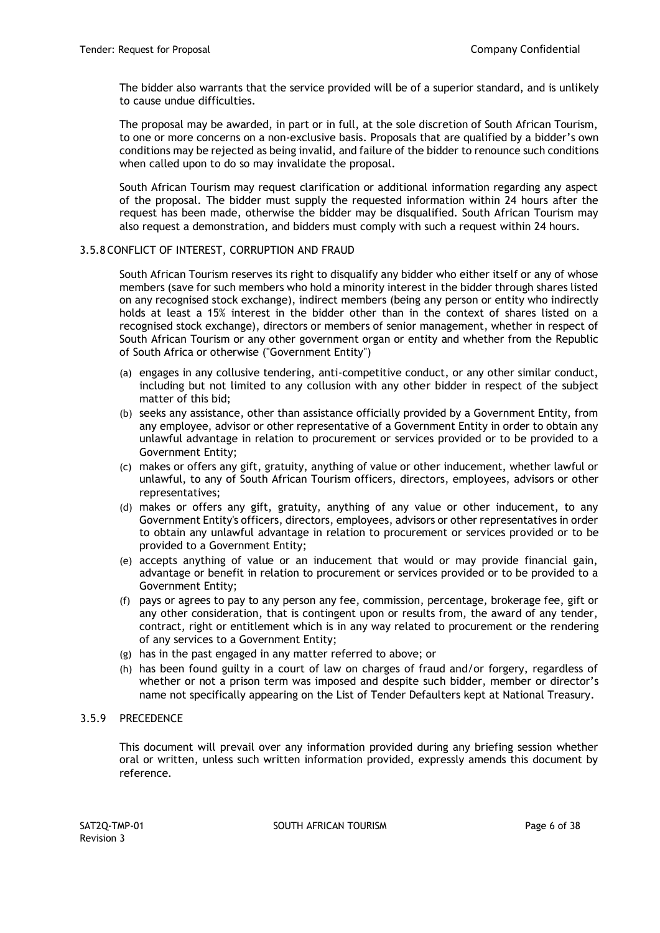The bidder also warrants that the service provided will be of a superior standard, and is unlikely to cause undue difficulties.

The proposal may be awarded, in part or in full, at the sole discretion of South African Tourism, to one or more concerns on a non-exclusive basis. Proposals that are qualified by a bidder's own conditions may be rejected as being invalid, and failure of the bidder to renounce such conditions when called upon to do so may invalidate the proposal.

South African Tourism may request clarification or additional information regarding any aspect of the proposal. The bidder must supply the requested information within 24 hours after the request has been made, otherwise the bidder may be disqualified. South African Tourism may also request a demonstration, and bidders must comply with such a request within 24 hours.

### 3.5.8 CONFLICT OF INTEREST, CORRUPTION AND FRAUD

South African Tourism reserves its right to disqualify any bidder who either itself or any of whose members (save for such members who hold a minority interest in the bidder through shares listed on any recognised stock exchange), indirect members (being any person or entity who indirectly holds at least a 15% interest in the bidder other than in the context of shares listed on a recognised stock exchange), directors or members of senior management, whether in respect of South African Tourism or any other government organ or entity and whether from the Republic of South Africa or otherwise ("Government Entity")

- (a) engages in any collusive tendering, anti-competitive conduct, or any other similar conduct, including but not limited to any collusion with any other bidder in respect of the subject matter of this bid;
- (b) seeks any assistance, other than assistance officially provided by a Government Entity, from any employee, advisor or other representative of a Government Entity in order to obtain any unlawful advantage in relation to procurement or services provided or to be provided to a Government Entity;
- (c) makes or offers any gift, gratuity, anything of value or other inducement, whether lawful or unlawful, to any of South African Tourism officers, directors, employees, advisors or other representatives;
- (d) makes or offers any gift, gratuity, anything of any value or other inducement, to any Government Entity's officers, directors, employees, advisors or other representatives in order to obtain any unlawful advantage in relation to procurement or services provided or to be provided to a Government Entity;
- (e) accepts anything of value or an inducement that would or may provide financial gain, advantage or benefit in relation to procurement or services provided or to be provided to a Government Entity;
- (f) pays or agrees to pay to any person any fee, commission, percentage, brokerage fee, gift or any other consideration, that is contingent upon or results from, the award of any tender, contract, right or entitlement which is in any way related to procurement or the rendering of any services to a Government Entity;
- (g) has in the past engaged in any matter referred to above; or
- (h) has been found guilty in a court of law on charges of fraud and/or forgery, regardless of whether or not a prison term was imposed and despite such bidder, member or director's name not specifically appearing on the List of Tender Defaulters kept at National Treasury.

#### 3.5.9 PRECEDENCE

This document will prevail over any information provided during any briefing session whether oral or written, unless such written information provided, expressly amends this document by reference.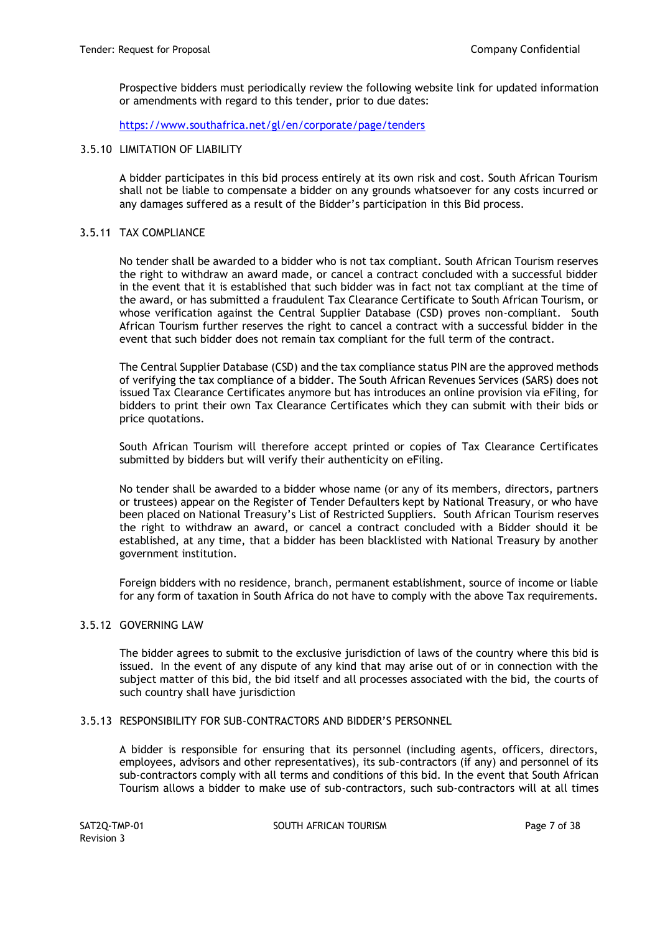Prospective bidders must periodically review the following website lin[k](https://www.southafrica.net/gl/en/corporate/page/tenders) for updated information or amendments with regard to this tender, prior to due dates:

<https://www.southafrica.net/gl/en/corporate/page/tenders>

#### 3.5.10 LIMITATION OF LIABILITY

A bidder participates in this bid process entirely at its own risk and cost. South African Tourism shall not be liable to compensate a bidder on any grounds whatsoever for any costs incurred or any damages suffered as a result of the Bidder's participation in this Bid process.

### 3.5.11 TAX COMPLIANCE

No tender shall be awarded to a bidder who is not tax compliant. South African Tourism reserves the right to withdraw an award made, or cancel a contract concluded with a successful bidder in the event that it is established that such bidder was in fact not tax compliant at the time of the award, or has submitted a fraudulent Tax Clearance Certificate to South African Tourism, or whose verification against the Central Supplier Database (CSD) proves non-compliant. South African Tourism further reserves the right to cancel a contract with a successful bidder in the event that such bidder does not remain tax compliant for the full term of the contract.

The Central Supplier Database (CSD) and the tax compliance status PIN are the approved methods of verifying the tax compliance of a bidder. The South African Revenues Services (SARS) does not issued Tax Clearance Certificates anymore but has introduces an online provision via eFiling, for bidders to print their own Tax Clearance Certificates which they can submit with their bids or price quotations.

South African Tourism will therefore accept printed or copies of Tax Clearance Certificates submitted by bidders but will verify their authenticity on eFiling.

No tender shall be awarded to a bidder whose name (or any of its members, directors, partners or trustees) appear on the Register of Tender Defaulters kept by National Treasury, or who have been placed on National Treasury's List of Restricted Suppliers. South African Tourism reserves the right to withdraw an award, or cancel a contract concluded with a Bidder should it be established, at any time, that a bidder has been blacklisted with National Treasury by another government institution.

Foreign bidders with no residence, branch, permanent establishment, source of income or liable for any form of taxation in South Africa do not have to comply with the above Tax requirements.

### 3.5.12 GOVERNING LAW

The bidder agrees to submit to the exclusive jurisdiction of laws of the country where this bid is issued. In the event of any dispute of any kind that may arise out of or in connection with the subject matter of this bid, the bid itself and all processes associated with the bid, the courts of such country shall have jurisdiction

#### 3.5.13 RESPONSIBILITY FOR SUB-CONTRACTORS AND BIDDER'S PERSONNEL

A bidder is responsible for ensuring that its personnel (including agents, officers, directors, employees, advisors and other representatives), its sub-contractors (if any) and personnel of its sub-contractors comply with all terms and conditions of this bid. In the event that South African Tourism allows a bidder to make use of sub-contractors, such sub-contractors will at all times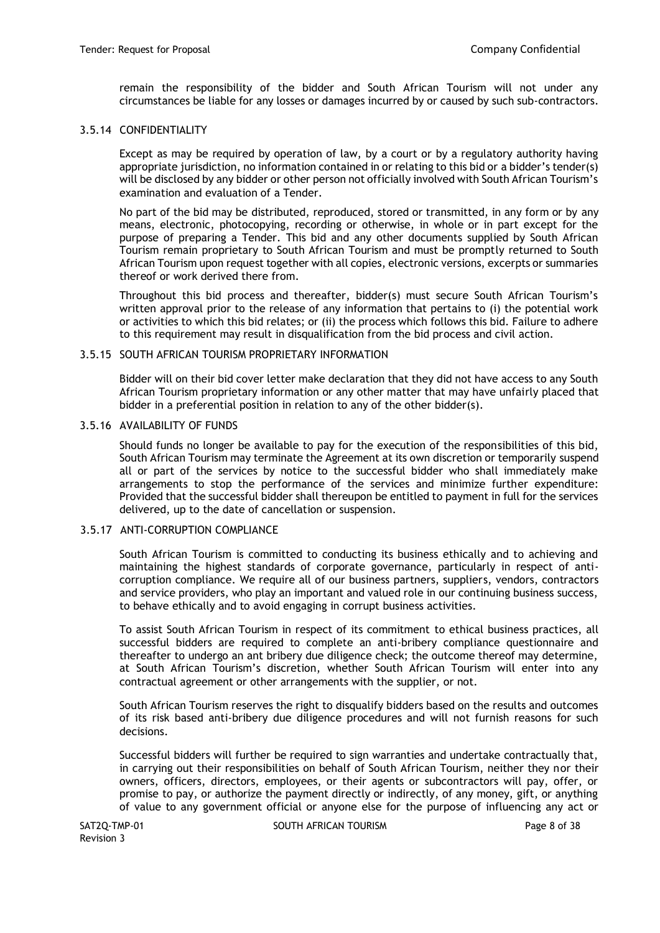remain the responsibility of the bidder and South African Tourism will not under any circumstances be liable for any losses or damages incurred by or caused by such sub-contractors.

### 3.5.14 CONFIDENTIALITY

Except as may be required by operation of law, by a court or by a regulatory authority having appropriate jurisdiction, no information contained in or relating to this bid or a bidder's tender(s) will be disclosed by any bidder or other person not officially involved with South African Tourism's examination and evaluation of a Tender.

No part of the bid may be distributed, reproduced, stored or transmitted, in any form or by any means, electronic, photocopying, recording or otherwise, in whole or in part except for the purpose of preparing a Tender. This bid and any other documents supplied by South African Tourism remain proprietary to South African Tourism and must be promptly returned to South African Tourism upon request together with all copies, electronic versions, excerpts or summaries thereof or work derived there from.

Throughout this bid process and thereafter, bidder(s) must secure South African Tourism's written approval prior to the release of any information that pertains to (i) the potential work or activities to which this bid relates; or (ii) the process which follows this bid. Failure to adhere to this requirement may result in disqualification from the bid process and civil action.

#### 3.5.15 SOUTH AFRICAN TOURISM PROPRIETARY INFORMATION

Bidder will on their bid cover letter make declaration that they did not have access to any South African Tourism proprietary information or any other matter that may have unfairly placed that bidder in a preferential position in relation to any of the other bidder(s).

### 3.5.16 AVAILABILITY OF FUNDS

Should funds no longer be available to pay for the execution of the responsibilities of this bid, South African Tourism may terminate the Agreement at its own discretion or temporarily suspend all or part of the services by notice to the successful bidder who shall immediately make arrangements to stop the performance of the services and minimize further expenditure: Provided that the successful bidder shall thereupon be entitled to payment in full for the services delivered, up to the date of cancellation or suspension.

### 3.5.17 ANTI-CORRUPTION COMPLIANCE

South African Tourism is committed to conducting its business ethically and to achieving and maintaining the highest standards of corporate governance, particularly in respect of anticorruption compliance. We require all of our business partners, suppliers, vendors, contractors and service providers, who play an important and valued role in our continuing business success, to behave ethically and to avoid engaging in corrupt business activities.

To assist South African Tourism in respect of its commitment to ethical business practices, all successful bidders are required to complete an anti-bribery compliance questionnaire and thereafter to undergo an ant bribery due diligence check; the outcome thereof may determine, at South African Tourism's discretion, whether South African Tourism will enter into any contractual agreement or other arrangements with the supplier, or not.

South African Tourism reserves the right to disqualify bidders based on the results and outcomes of its risk based anti-bribery due diligence procedures and will not furnish reasons for such decisions.

Successful bidders will further be required to sign warranties and undertake contractually that, in carrying out their responsibilities on behalf of South African Tourism, neither they nor their owners, officers, directors, employees, or their agents or subcontractors will pay, offer, or promise to pay, or authorize the payment directly or indirectly, of any money, gift, or anything of value to any government official or anyone else for the purpose of influencing any act or

Revision 3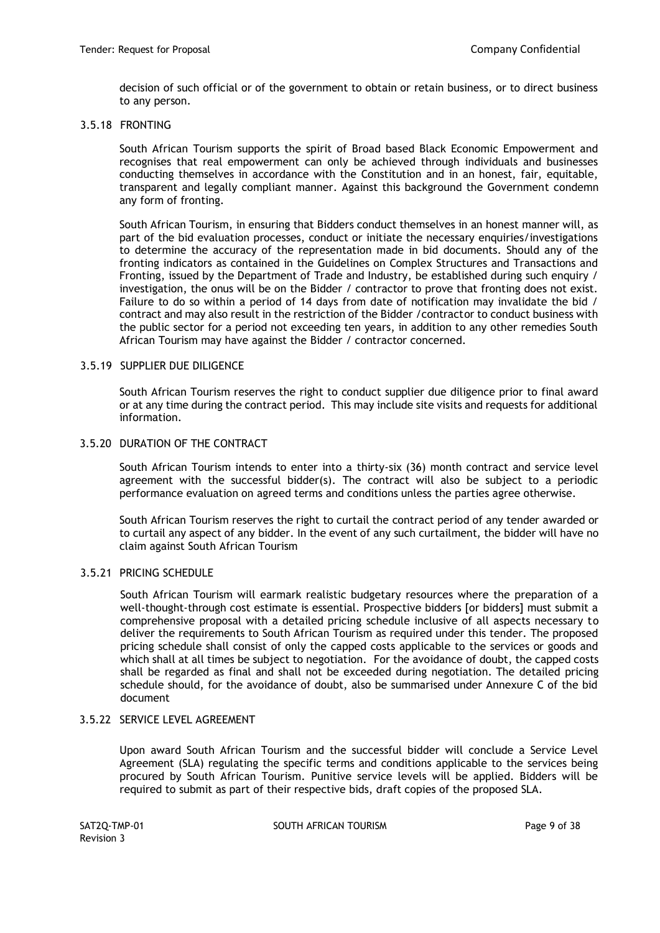decision of such official or of the government to obtain or retain business, or to direct business to any person.

### 3.5.18 FRONTING

South African Tourism supports the spirit of Broad based Black Economic Empowerment and recognises that real empowerment can only be achieved through individuals and businesses conducting themselves in accordance with the Constitution and in an honest, fair, equitable, transparent and legally compliant manner. Against this background the Government condemn any form of fronting.

South African Tourism, in ensuring that Bidders conduct themselves in an honest manner will, as part of the bid evaluation processes, conduct or initiate the necessary enquiries/investigations to determine the accuracy of the representation made in bid documents. Should any of the fronting indicators as contained in the Guidelines on Complex Structures and Transactions and Fronting, issued by the Department of Trade and Industry, be established during such enquiry / investigation, the onus will be on the Bidder / contractor to prove that fronting does not exist. Failure to do so within a period of 14 days from date of notification may invalidate the bid / contract and may also result in the restriction of the Bidder /contractor to conduct business with the public sector for a period not exceeding ten years, in addition to any other remedies South African Tourism may have against the Bidder / contractor concerned.

#### 3.5.19 SUPPLIER DUE DILIGENCE

South African Tourism reserves the right to conduct supplier due diligence prior to final award or at any time during the contract period. This may include site visits and requests for additional information.

# 3.5.20 DURATION OF THE CONTRACT

South African Tourism intends to enter into a thirty-six (36) month contract and service level agreement with the successful bidder(s). The contract will also be subject to a periodic performance evaluation on agreed terms and conditions unless the parties agree otherwise.

South African Tourism reserves the right to curtail the contract period of any tender awarded or to curtail any aspect of any bidder. In the event of any such curtailment, the bidder will have no claim against South African Tourism

### 3.5.21 PRICING SCHEDULE

South African Tourism will earmark realistic budgetary resources where the preparation of a well-thought-through cost estimate is essential. Prospective bidders [or bidders] must submit a comprehensive proposal with a detailed pricing schedule inclusive of all aspects necessary to deliver the requirements to South African Tourism as required under this tender. The proposed pricing schedule shall consist of only the capped costs applicable to the services or goods and which shall at all times be subject to negotiation. For the avoidance of doubt, the capped costs shall be regarded as final and shall not be exceeded during negotiation. The detailed pricing schedule should, for the avoidance of doubt, also be summarised under Annexure C of the bid document

### 3.5.22 SERVICE LEVEL AGREEMENT

Upon award South African Tourism and the successful bidder will conclude a Service Level Agreement (SLA) regulating the specific terms and conditions applicable to the services being procured by South African Tourism. Punitive service levels will be applied. Bidders will be required to submit as part of their respective bids, draft copies of the proposed SLA.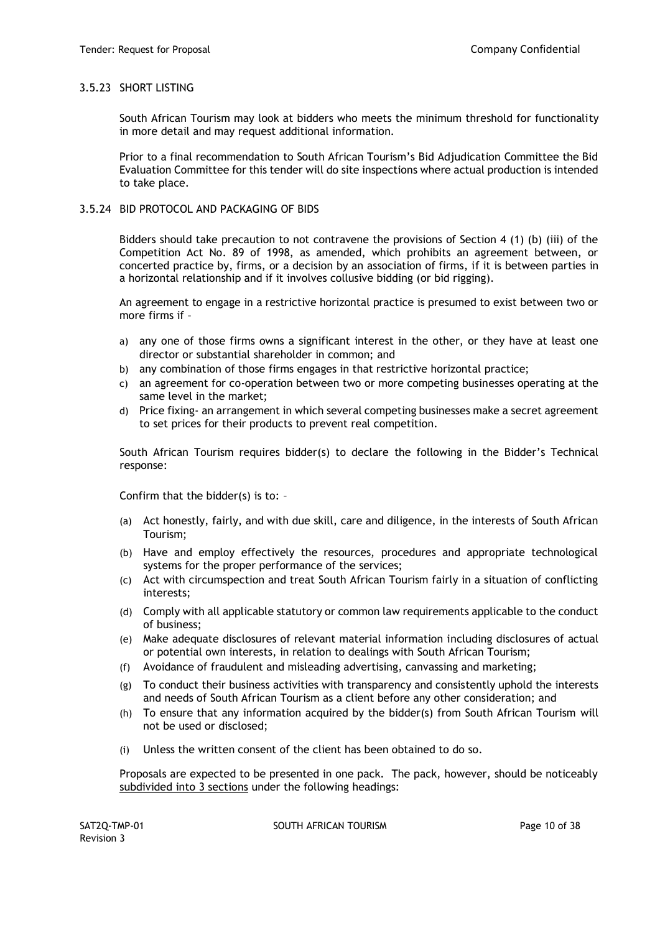## 3.5.23 SHORT LISTING

South African Tourism may look at bidders who meets the minimum threshold for functionality in more detail and may request additional information.

Prior to a final recommendation to South African Tourism's Bid Adjudication Committee the Bid Evaluation Committee for this tender will do site inspections where actual production is intended to take place.

### 3.5.24 BID PROTOCOL AND PACKAGING OF BIDS

Bidders should take precaution to not contravene the provisions of Section 4 (1) (b) (iii) of the Competition Act No. 89 of 1998, as amended, which prohibits an agreement between, or concerted practice by, firms, or a decision by an association of firms, if it is between parties in a horizontal relationship and if it involves collusive bidding (or bid rigging).

An agreement to engage in a restrictive horizontal practice is presumed to exist between two or more firms if –

- a) any one of those firms owns a significant interest in the other, or they have at least one director or substantial shareholder in common; and
- b) any combination of those firms engages in that restrictive horizontal practice;
- c) an agreement for co-operation between two or more competing businesses operating at the same level in the market;
- d) Price fixing- an arrangement in which several competing businesses make a secret agreement to set prices for their products to prevent real competition.

South African Tourism requires bidder(s) to declare the following in the Bidder's Technical response:

Confirm that the bidder(s) is to: –

- (a) Act honestly, fairly, and with due skill, care and diligence, in the interests of South African Tourism;
- (b) Have and employ effectively the resources, procedures and appropriate technological systems for the proper performance of the services;
- (c) Act with circumspection and treat South African Tourism fairly in a situation of conflicting interests;
- (d) Comply with all applicable statutory or common law requirements applicable to the conduct of business;
- (e) Make adequate disclosures of relevant material information including disclosures of actual or potential own interests, in relation to dealings with South African Tourism;
- (f) Avoidance of fraudulent and misleading advertising, canvassing and marketing;
- (g) To conduct their business activities with transparency and consistently uphold the interests and needs of South African Tourism as a client before any other consideration; and
- (h) To ensure that any information acquired by the bidder(s) from South African Tourism will not be used or disclosed;
- (i) Unless the written consent of the client has been obtained to do so.

Proposals are expected to be presented in one pack. The pack, however, should be noticeably subdivided into 3 sections under the following headings:

SAT2Q-TMP-01 SOUTH AFRICAN TOURISM SAT2Q-TMP-01 Page 10 of 38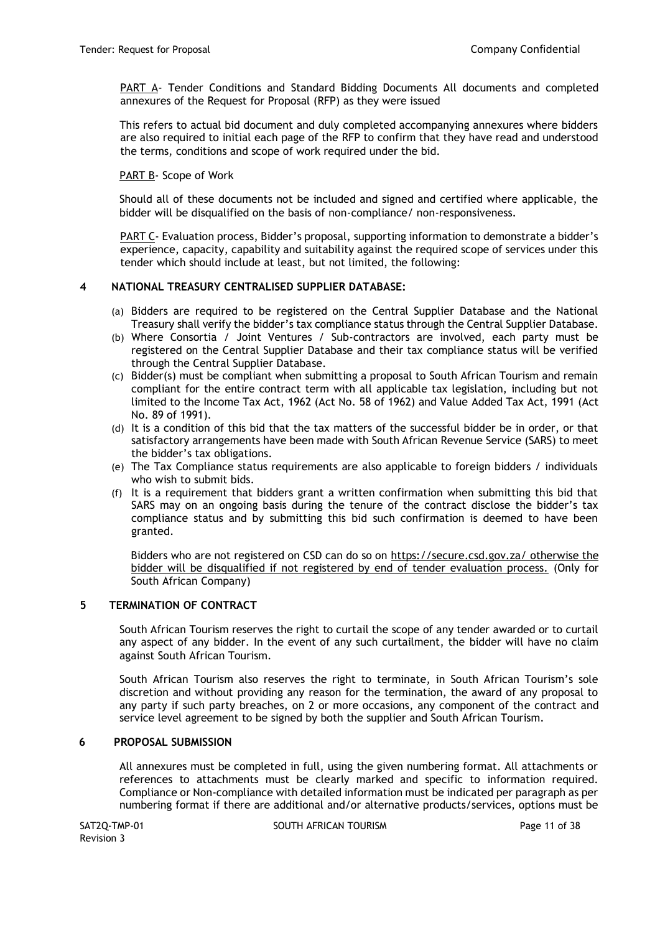PART A- Tender Conditions and Standard Bidding Documents All documents and completed annexures of the Request for Proposal (RFP) as they were issued

This refers to actual bid document and duly completed accompanying annexures where bidders are also required to initial each page of the RFP to confirm that they have read and understood the terms, conditions and scope of work required under the bid.

### PART B- Scope of Work

Should all of these documents not be included and signed and certified where applicable, the bidder will be disqualified on the basis of non-compliance/ non-responsiveness.

PART C- Evaluation process, Bidder's proposal, supporting information to demonstrate a bidder's experience, capacity, capability and suitability against the required scope of services under this tender which should include at least, but not limited, the following:

### **4 NATIONAL TREASURY CENTRALISED SUPPLIER DATABASE:**

- (a) Bidders are required to be registered on the Central Supplier Database and the National Treasury shall verify the bidder's tax compliance status through the Central Supplier Database.
- (b) Where Consortia / Joint Ventures / Sub-contractors are involved, each party must be registered on the Central Supplier Database and their tax compliance status will be verified through the Central Supplier Database.
- (c) Bidder(s) must be compliant when submitting a proposal to South African Tourism and remain compliant for the entire contract term with all applicable tax legislation, including but not limited to the Income Tax Act, 1962 (Act No. 58 of 1962) and Value Added Tax Act, 1991 (Act No. 89 of 1991).
- (d) It is a condition of this bid that the tax matters of the successful bidder be in order, or that satisfactory arrangements have been made with South African Revenue Service (SARS) to meet the bidder's tax obligations.
- (e) The Tax Compliance status requirements are also applicable to foreign bidders / individuals who wish to submit bids.
- (f) It is a requirement that bidders grant a written confirmation when submitting this bid that SARS may on an ongoing basis during the tenure of the contract disclose the bidder's tax compliance status and by submitting this bid such confirmation is deemed to have been granted.

Bidders who are not registered on CSD can do so on<https://secure.csd.gov.za/> otherwise the bidder will be disqualified if not registered by end of tender evaluation process[.](https://secure.csd.gov.za/) (Only for South African Company)

### **5 TERMINATION OF CONTRACT**

South African Tourism reserves the right to curtail the scope of any tender awarded or to curtail any aspect of any bidder. In the event of any such curtailment, the bidder will have no claim against South African Tourism.

South African Tourism also reserves the right to terminate, in South African Tourism's sole discretion and without providing any reason for the termination, the award of any proposal to any party if such party breaches, on 2 or more occasions, any component of the contract and service level agreement to be signed by both the supplier and South African Tourism.

### **6 PROPOSAL SUBMISSION**

All annexures must be completed in full, using the given numbering format. All attachments or references to attachments must be clearly marked and specific to information required. Compliance or Non-compliance with detailed information must be indicated per paragraph as per numbering format if there are additional and/or alternative products/services, options must be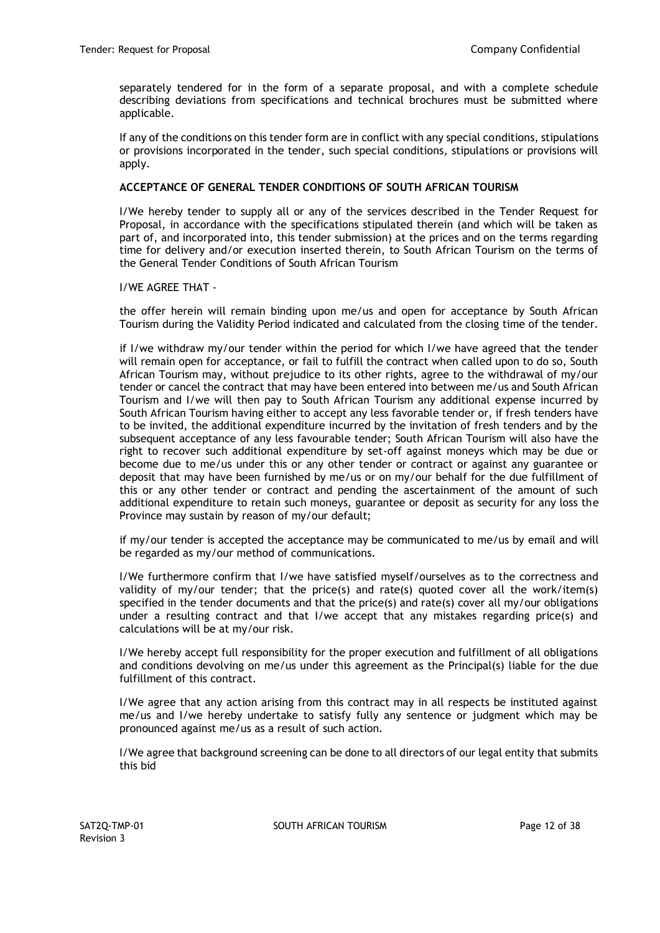separately tendered for in the form of a separate proposal, and with a complete schedule describing deviations from specifications and technical brochures must be submitted where applicable.

If any of the conditions on this tender form are in conflict with any special conditions, stipulations or provisions incorporated in the tender, such special conditions, stipulations or provisions will apply.

### **ACCEPTANCE OF GENERAL TENDER CONDITIONS OF SOUTH AFRICAN TOURISM**

I/We hereby tender to supply all or any of the services described in the Tender Request for Proposal, in accordance with the specifications stipulated therein (and which will be taken as part of, and incorporated into, this tender submission) at the prices and on the terms regarding time for delivery and/or execution inserted therein, to South African Tourism on the terms of the General Tender Conditions of South African Tourism

I/WE AGREE THAT -

the offer herein will remain binding upon me/us and open for acceptance by South African Tourism during the Validity Period indicated and calculated from the closing time of the tender.

if I/we withdraw my/our tender within the period for which I/we have agreed that the tender will remain open for acceptance, or fail to fulfill the contract when called upon to do so, South African Tourism may, without prejudice to its other rights, agree to the withdrawal of my/our tender or cancel the contract that may have been entered into between me/us and South African Tourism and I/we will then pay to South African Tourism any additional expense incurred by South African Tourism having either to accept any less favorable tender or, if fresh tenders have to be invited, the additional expenditure incurred by the invitation of fresh tenders and by the subsequent acceptance of any less favourable tender; South African Tourism will also have the right to recover such additional expenditure by set-off against moneys which may be due or become due to me/us under this or any other tender or contract or against any guarantee or deposit that may have been furnished by me/us or on my/our behalf for the due fulfillment of this or any other tender or contract and pending the ascertainment of the amount of such additional expenditure to retain such moneys, guarantee or deposit as security for any loss the Province may sustain by reason of my/our default;

if my/our tender is accepted the acceptance may be communicated to me/us by email and will be regarded as my/our method of communications.

I/We furthermore confirm that I/we have satisfied myself/ourselves as to the correctness and validity of my/our tender; that the price(s) and rate(s) quoted cover all the work/item(s) specified in the tender documents and that the price(s) and rate(s) cover all my/our obligations under a resulting contract and that I/we accept that any mistakes regarding price(s) and calculations will be at my/our risk.

I/We hereby accept full responsibility for the proper execution and fulfillment of all obligations and conditions devolving on me/us under this agreement as the Principal(s) liable for the due fulfillment of this contract.

I/We agree that any action arising from this contract may in all respects be instituted against me/us and I/we hereby undertake to satisfy fully any sentence or judgment which may be pronounced against me/us as a result of such action.

I/We agree that background screening can be done to all directors of our legal entity that submits this bid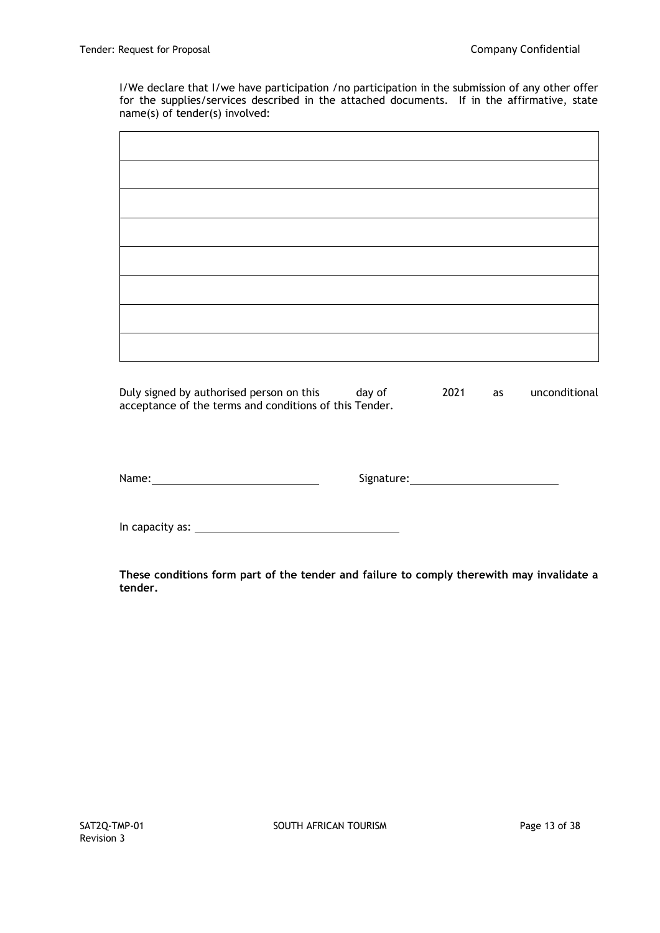I/We declare that I/we have participation /no participation in the submission of any other offer for the supplies/services described in the attached documents. If in the affirmative, state name(s) of tender(s) involved:

Duly signed by authorised person on this day of 2021 as unconditional acceptance of the terms and conditions of this Tender.

Name: Monte and Signature: Mame: Mame: Mame: Mame: Mame: Mame: Mame: Mame: Mame: Mame: Mame: Mame: Mame: Mame: Mame: Mame: Mame: Mame: Mame: Mame: Mame: Mame: Mame: Mame: Mame: Mame: Mame: Mame: Mame: Mame: Mame: Mame: Mam

In capacity as: University as: University as: University as: University as: University as: University as: University as: University as: University as: University as: University as: University as: University as: University

**These conditions form part of the tender and failure to comply therewith may invalidate a tender.**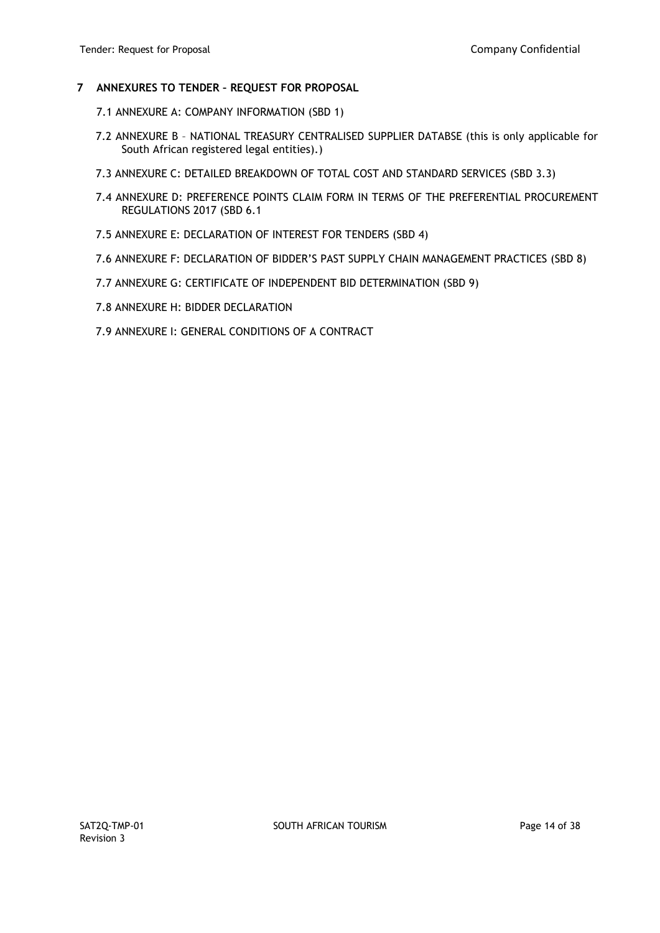#### **7 ANNEXURES TO TENDER – REQUEST FOR PROPOSAL**

- 7.1 ANNEXURE A: COMPANY INFORMATION (SBD 1)
- 7.2 ANNEXURE B NATIONAL TREASURY CENTRALISED SUPPLIER DATABSE (this is only applicable for South African registered legal entities).)
- 7.3 ANNEXURE C: DETAILED BREAKDOWN OF TOTAL COST AND STANDARD SERVICES (SBD 3.3)
- 7.4 ANNEXURE D: PREFERENCE POINTS CLAIM FORM IN TERMS OF THE PREFERENTIAL PROCUREMENT REGULATIONS 2017 (SBD 6.1
- 7.5 ANNEXURE E: DECLARATION OF INTEREST FOR TENDERS (SBD 4)
- 7.6 ANNEXURE F: DECLARATION OF BIDDER'S PAST SUPPLY CHAIN MANAGEMENT PRACTICES (SBD 8)
- 7.7 ANNEXURE G: CERTIFICATE OF INDEPENDENT BID DETERMINATION (SBD 9)
- 7.8 ANNEXURE H: BIDDER DECLARATION
- 7.9 ANNEXURE I: GENERAL CONDITIONS OF A CONTRACT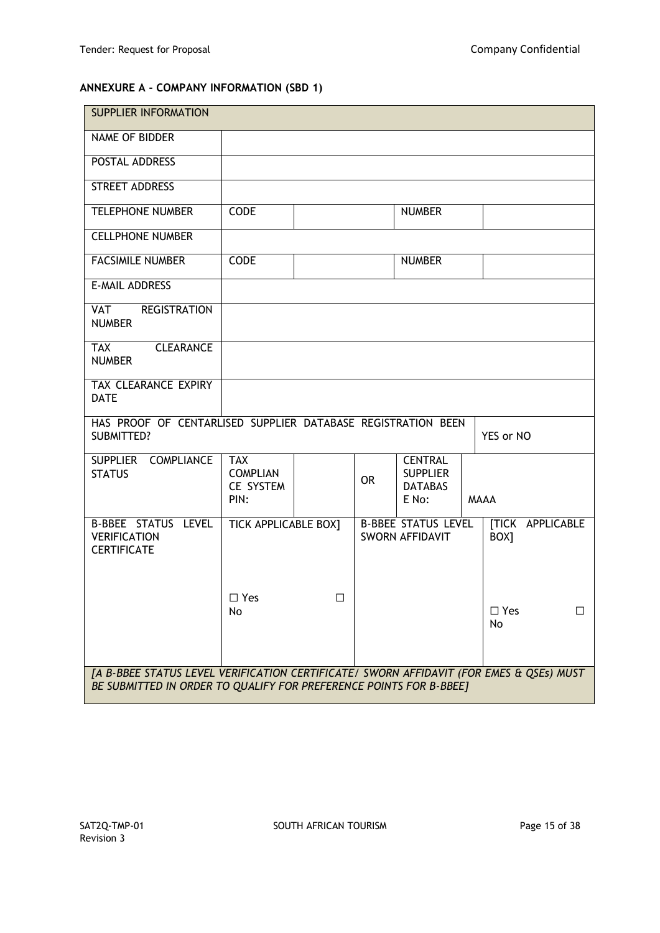# **ANNEXURE A - COMPANY INFORMATION (SBD 1)**

| <b>SUPPLIER INFORMATION</b>                                                                                                                                   |                                                    |    |           |                                                              |  |                  |                         |
|---------------------------------------------------------------------------------------------------------------------------------------------------------------|----------------------------------------------------|----|-----------|--------------------------------------------------------------|--|------------------|-------------------------|
| NAME OF BIDDER                                                                                                                                                |                                                    |    |           |                                                              |  |                  |                         |
| POSTAL ADDRESS                                                                                                                                                |                                                    |    |           |                                                              |  |                  |                         |
| STREET ADDRESS                                                                                                                                                |                                                    |    |           |                                                              |  |                  |                         |
| <b>TELEPHONE NUMBER</b>                                                                                                                                       | <b>CODE</b>                                        |    |           | <b>NUMBER</b>                                                |  |                  |                         |
| <b>CELLPHONE NUMBER</b>                                                                                                                                       |                                                    |    |           |                                                              |  |                  |                         |
| <b>FACSIMILE NUMBER</b>                                                                                                                                       | <b>CODE</b>                                        |    |           | <b>NUMBER</b>                                                |  |                  |                         |
| <b>E-MAIL ADDRESS</b>                                                                                                                                         |                                                    |    |           |                                                              |  |                  |                         |
| VAT<br><b>REGISTRATION</b><br><b>NUMBER</b>                                                                                                                   |                                                    |    |           |                                                              |  |                  |                         |
| <b>CLEARANCE</b><br><b>TAX</b><br><b>NUMBER</b>                                                                                                               |                                                    |    |           |                                                              |  |                  |                         |
| TAX CLEARANCE EXPIRY<br><b>DATE</b>                                                                                                                           |                                                    |    |           |                                                              |  |                  |                         |
| HAS PROOF OF CENTARLISED SUPPLIER DATABASE REGISTRATION BEEN<br><b>SUBMITTED?</b>                                                                             |                                                    |    |           |                                                              |  | YES or NO        |                         |
| SUPPLIER COMPLIANCE<br><b>STATUS</b>                                                                                                                          | <b>TAX</b><br><b>COMPLIAN</b><br>CE SYSTEM<br>PIN: |    | <b>OR</b> | <b>CENTRAL</b><br><b>SUPPLIER</b><br><b>DATABAS</b><br>E No: |  | <b>MAAA</b>      |                         |
| B-BBEE STATUS LEVEL<br><b>VERIFICATION</b><br><b>CERTIFICATE</b>                                                                                              | TICK APPLICABLE BOX]                               |    |           | <b>B-BBEE STATUS LEVEL</b><br><b>SWORN AFFIDAVIT</b>         |  | BOX <sub>1</sub> | <b>[TICK APPLICABLE</b> |
|                                                                                                                                                               | $\square$ Yes<br>No                                | П. |           |                                                              |  | $\Box$ Yes<br>No | □                       |
| [A B-BBEE STATUS LEVEL VERIFICATION CERTIFICATE/ SWORN AFFIDAVIT (FOR EMES & QSEs) MUST<br>BE SUBMITTED IN ORDER TO QUALIFY FOR PREFERENCE POINTS FOR B-BBEE] |                                                    |    |           |                                                              |  |                  |                         |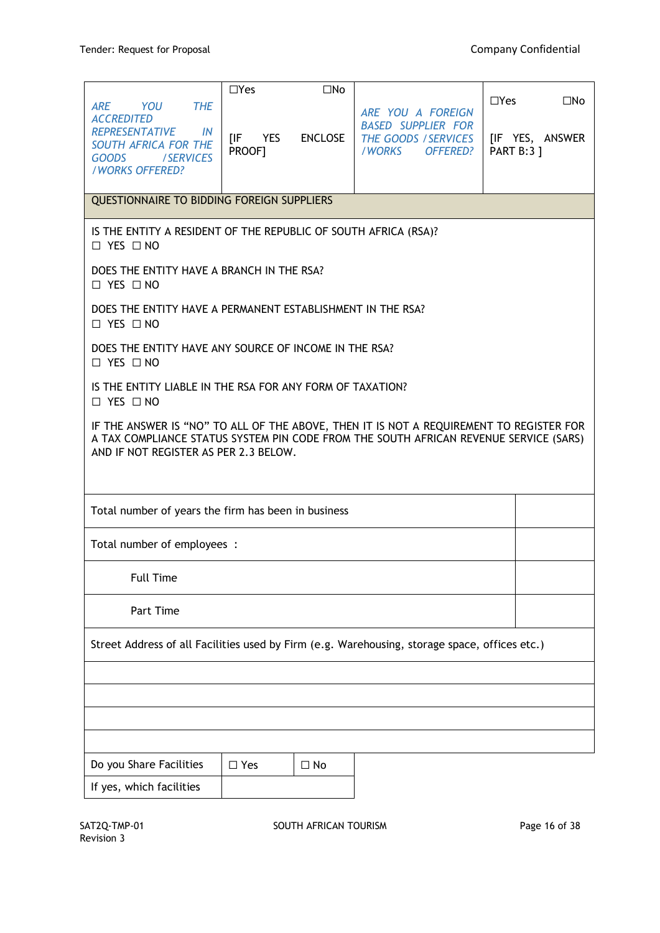|                                                                                                                                                                          | $\Box$ Yes                                                                                                                                                                                                                | $\square$ No       |                                                                                                     |                                 |                                 |  |  |
|--------------------------------------------------------------------------------------------------------------------------------------------------------------------------|---------------------------------------------------------------------------------------------------------------------------------------------------------------------------------------------------------------------------|--------------------|-----------------------------------------------------------------------------------------------------|---------------------------------|---------------------------------|--|--|
| YOU<br><b>ARE</b><br><b>THE</b><br><b>ACCREDITED</b><br><b>REPRESENTATIVE</b><br>IN<br><b>SOUTH AFRICA FOR THE</b><br><b>GOODS</b><br><b>SERVICES</b><br>/WORKS OFFERED? | [IF<br>PROOF]                                                                                                                                                                                                             | <b>YES ENCLOSE</b> | ARE YOU A FOREIGN<br><b>BASED SUPPLIER FOR</b><br>THE GOODS / SERVICES<br>/WORKS<br><b>OFFERED?</b> | $\Box$ Yes<br><b>PART B:3 1</b> | $\square$ No<br>[IF YES, ANSWER |  |  |
| QUESTIONNAIRE TO BIDDING FOREIGN SUPPLIERS                                                                                                                               |                                                                                                                                                                                                                           |                    |                                                                                                     |                                 |                                 |  |  |
| IS THE ENTITY A RESIDENT OF THE REPUBLIC OF SOUTH AFRICA (RSA)?<br>$\Box$ YES $\Box$ NO                                                                                  |                                                                                                                                                                                                                           |                    |                                                                                                     |                                 |                                 |  |  |
| DOES THE ENTITY HAVE A BRANCH IN THE RSA?<br>$\Box$ YES $\Box$ NO                                                                                                        |                                                                                                                                                                                                                           |                    |                                                                                                     |                                 |                                 |  |  |
| DOES THE ENTITY HAVE A PERMANENT ESTABLISHMENT IN THE RSA?<br>$\Box$ YES $\Box$ NO                                                                                       |                                                                                                                                                                                                                           |                    |                                                                                                     |                                 |                                 |  |  |
| DOES THE ENTITY HAVE ANY SOURCE OF INCOME IN THE RSA?<br>$\Box$ YES $\Box$ NO                                                                                            |                                                                                                                                                                                                                           |                    |                                                                                                     |                                 |                                 |  |  |
| IS THE ENTITY LIABLE IN THE RSA FOR ANY FORM OF TAXATION?<br>$\Box$ YES $\Box$ NO                                                                                        |                                                                                                                                                                                                                           |                    |                                                                                                     |                                 |                                 |  |  |
|                                                                                                                                                                          | IF THE ANSWER IS "NO" TO ALL OF THE ABOVE, THEN IT IS NOT A REQUIREMENT TO REGISTER FOR<br>A TAX COMPLIANCE STATUS SYSTEM PIN CODE FROM THE SOUTH AFRICAN REVENUE SERVICE (SARS)<br>AND IF NOT REGISTER AS PER 2.3 BELOW. |                    |                                                                                                     |                                 |                                 |  |  |
|                                                                                                                                                                          | Total number of years the firm has been in business                                                                                                                                                                       |                    |                                                                                                     |                                 |                                 |  |  |
| Total number of employees :                                                                                                                                              |                                                                                                                                                                                                                           |                    |                                                                                                     |                                 |                                 |  |  |
| <b>Full Time</b>                                                                                                                                                         |                                                                                                                                                                                                                           |                    |                                                                                                     |                                 |                                 |  |  |
| Part Time                                                                                                                                                                |                                                                                                                                                                                                                           |                    |                                                                                                     |                                 |                                 |  |  |
| Street Address of all Facilities used by Firm (e.g. Warehousing, storage space, offices etc.)                                                                            |                                                                                                                                                                                                                           |                    |                                                                                                     |                                 |                                 |  |  |
|                                                                                                                                                                          |                                                                                                                                                                                                                           |                    |                                                                                                     |                                 |                                 |  |  |
|                                                                                                                                                                          |                                                                                                                                                                                                                           |                    |                                                                                                     |                                 |                                 |  |  |
|                                                                                                                                                                          |                                                                                                                                                                                                                           |                    |                                                                                                     |                                 |                                 |  |  |
| Do you Share Facilities<br>If yes, which facilities                                                                                                                      | $\Box$ Yes                                                                                                                                                                                                                | $\Box$ No          |                                                                                                     |                                 |                                 |  |  |
|                                                                                                                                                                          |                                                                                                                                                                                                                           |                    |                                                                                                     |                                 |                                 |  |  |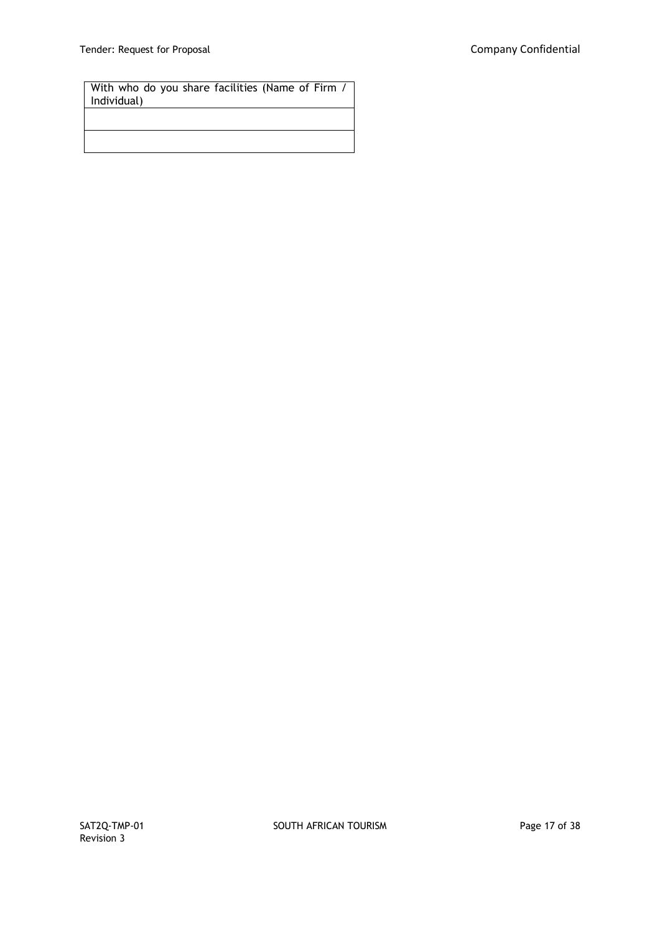With who do you share facilities (Name of Firm / Individual)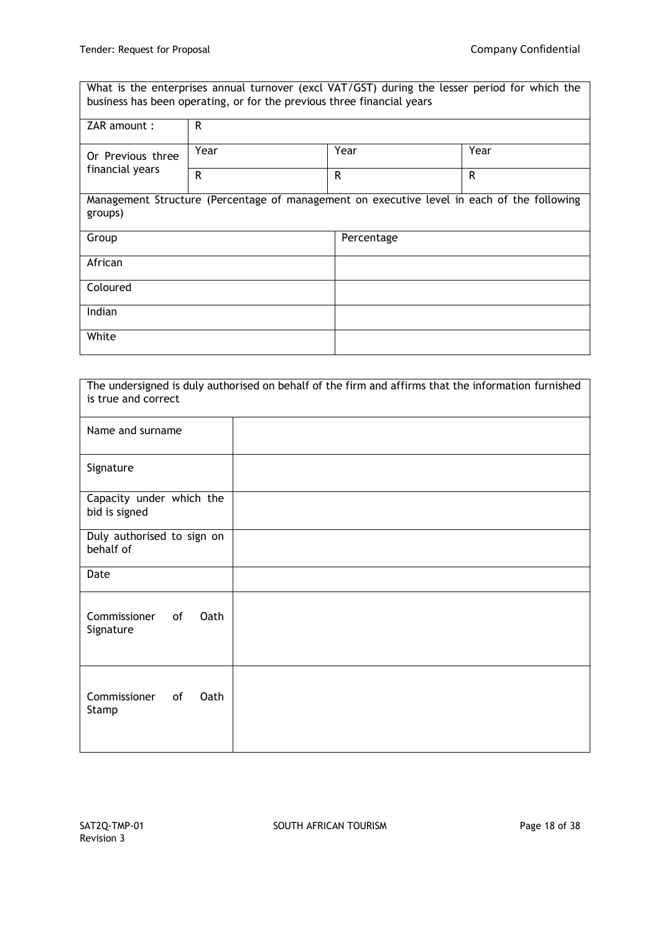| What is the enterprises annual turnover (excl VAT/GST) during the lesser period for which the<br>business has been operating, or for the previous three financial years |                                                                                            |      |      |  |  |
|-------------------------------------------------------------------------------------------------------------------------------------------------------------------------|--------------------------------------------------------------------------------------------|------|------|--|--|
| ZAR amount:                                                                                                                                                             | R                                                                                          |      |      |  |  |
| Or Previous three                                                                                                                                                       | Year                                                                                       | Year | Year |  |  |
| financial years                                                                                                                                                         | $\mathsf{R}$                                                                               | R    | R    |  |  |
| groups)                                                                                                                                                                 | Management Structure (Percentage of management on executive level in each of the following |      |      |  |  |
| Group<br>Percentage                                                                                                                                                     |                                                                                            |      |      |  |  |
| African                                                                                                                                                                 |                                                                                            |      |      |  |  |
| Coloured                                                                                                                                                                |                                                                                            |      |      |  |  |
| Indian                                                                                                                                                                  |                                                                                            |      |      |  |  |
| White                                                                                                                                                                   |                                                                                            |      |      |  |  |

| The undersigned is duly authorised on behalf of the firm and affirms that the information furnished<br>is true and correct |  |  |  |  |
|----------------------------------------------------------------------------------------------------------------------------|--|--|--|--|
| Name and surname                                                                                                           |  |  |  |  |
| Signature                                                                                                                  |  |  |  |  |
| Capacity under which the<br>bid is signed                                                                                  |  |  |  |  |
| Duly authorised to sign on<br>behalf of                                                                                    |  |  |  |  |
| Date                                                                                                                       |  |  |  |  |
| Commissioner<br><b>Oath</b><br><b>of</b><br>Signature                                                                      |  |  |  |  |
| Commissioner<br>of<br>Oath<br>Stamp                                                                                        |  |  |  |  |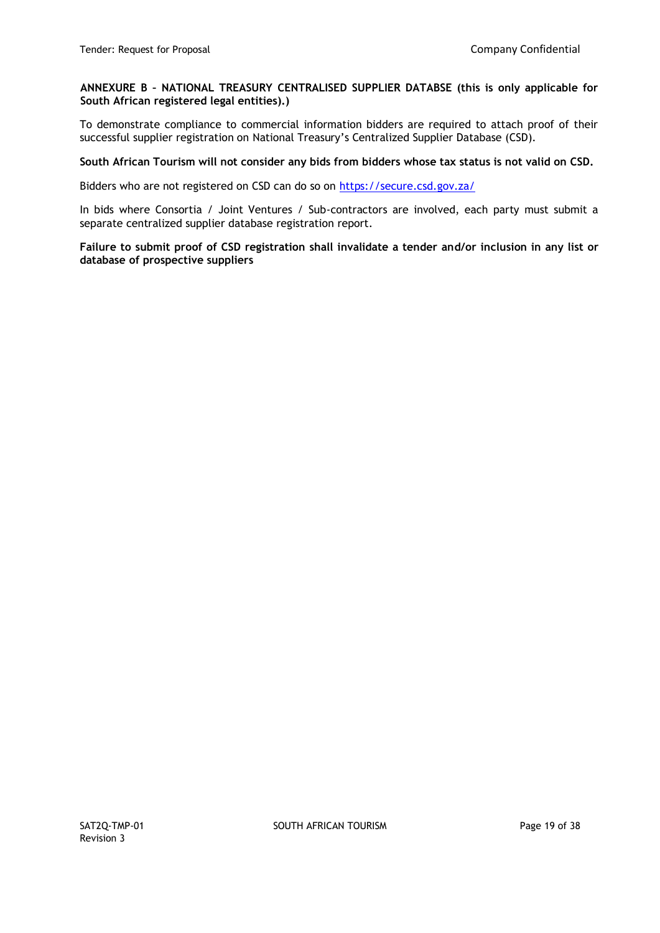### **ANNEXURE B – NATIONAL TREASURY CENTRALISED SUPPLIER DATABSE (this is only applicable for South African registered legal entities).)**

To demonstrate compliance to commercial information bidders are required to attach proof of their successful supplier registration on National Treasury's Centralized Supplier Database (CSD).

### **South African Tourism will not consider any bids from bidders whose tax status is not valid on CSD.**

Bidders who are not registered on CSD can do so on<https://secure.csd.gov.za/>

In bids where Consortia / Joint Ventures / Sub-contractors are involved, each party must submit a separate centralized supplier database registration report.

**Failure to submit proof of CSD registration shall invalidate a tender and/or inclusion in any list or database of prospective suppliers**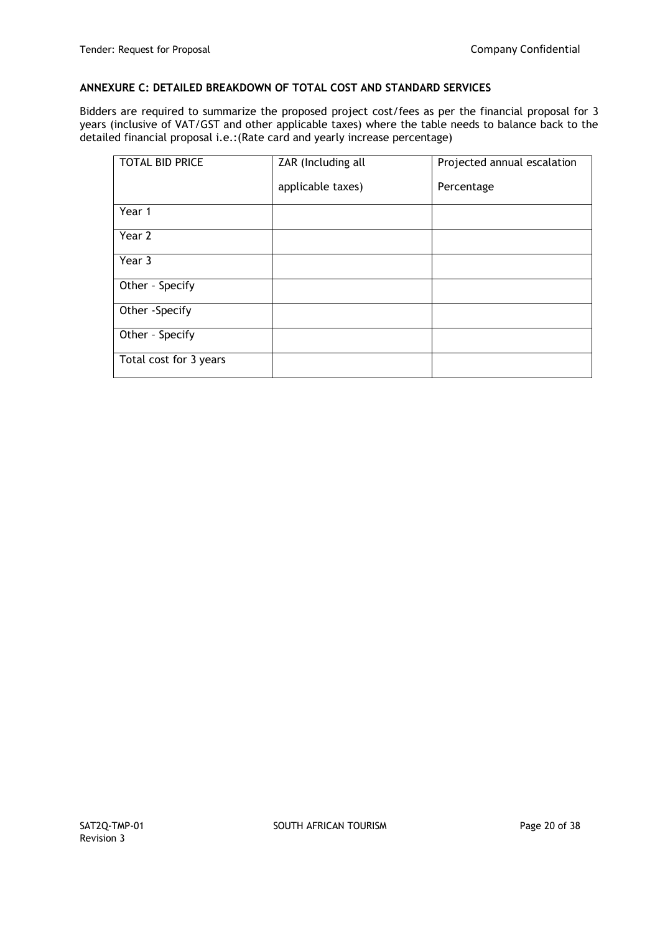### **ANNEXURE C: DETAILED BREAKDOWN OF TOTAL COST AND STANDARD SERVICES**

Bidders are required to summarize the proposed project cost/fees as per the financial proposal for 3 years (inclusive of VAT/GST and other applicable taxes) where the table needs to balance back to the detailed financial proposal i.e.:(Rate card and yearly increase percentage)

| <b>TOTAL BID PRICE</b> | ZAR (Including all | Projected annual escalation |
|------------------------|--------------------|-----------------------------|
|                        | applicable taxes)  | Percentage                  |
| Year 1                 |                    |                             |
| Year 2                 |                    |                             |
| Year 3                 |                    |                             |
| Other - Specify        |                    |                             |
| Other -Specify         |                    |                             |
| Other - Specify        |                    |                             |
| Total cost for 3 years |                    |                             |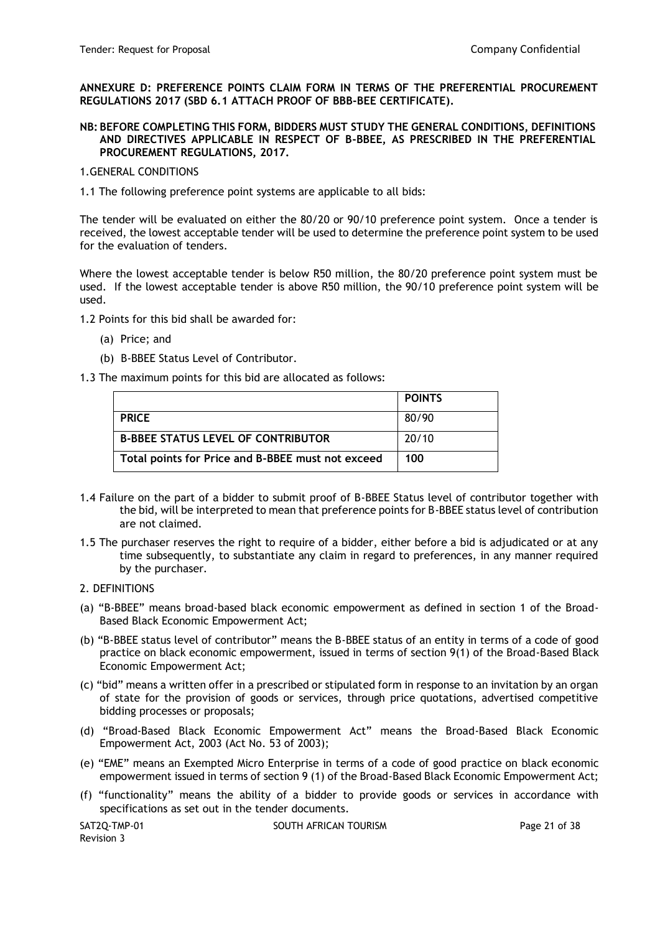**ANNEXURE D: PREFERENCE POINTS CLAIM FORM IN TERMS OF THE PREFERENTIAL PROCUREMENT REGULATIONS 2017 (SBD 6.1 ATTACH PROOF OF BBB-BEE CERTIFICATE).**

**NB: BEFORE COMPLETING THIS FORM, BIDDERS MUST STUDY THE GENERAL CONDITIONS, DEFINITIONS AND DIRECTIVES APPLICABLE IN RESPECT OF B-BBEE, AS PRESCRIBED IN THE PREFERENTIAL PROCUREMENT REGULATIONS, 2017.** 

#### 1.GENERAL CONDITIONS

1.1 The following preference point systems are applicable to all bids:

The tender will be evaluated on either the 80/20 or 90/10 preference point system. Once a tender is received, the lowest acceptable tender will be used to determine the preference point system to be used for the evaluation of tenders.

Where the lowest acceptable tender is below R50 million, the 80/20 preference point system must be used. If the lowest acceptable tender is above R50 million, the 90/10 preference point system will be used.

1.2 Points for this bid shall be awarded for:

- (a) Price; and
- (b) B-BBEE Status Level of Contributor.

1.3 The maximum points for this bid are allocated as follows:

|                                                   | <b>POINTS</b> |
|---------------------------------------------------|---------------|
| <b>PRICE</b>                                      | 80/90         |
| <b>B-BBEE STATUS LEVEL OF CONTRIBUTOR</b>         | 20/10         |
| Total points for Price and B-BBEE must not exceed | 100           |

- 1.4 Failure on the part of a bidder to submit proof of B-BBEE Status level of contributor together with the bid, will be interpreted to mean that preference points for B-BBEE status level of contribution are not claimed.
- 1.5 The purchaser reserves the right to require of a bidder, either before a bid is adjudicated or at any time subsequently, to substantiate any claim in regard to preferences, in any manner required by the purchaser.

#### 2. DEFINITIONS

- (a) "B-BBEE" means broad-based black economic empowerment as defined in section 1 of the Broad-Based Black Economic Empowerment Act;
- (b) "B-BBEE status level of contributor" means the B-BBEE status of an entity in terms of a code of good practice on black economic empowerment, issued in terms of section 9(1) of the Broad-Based Black Economic Empowerment Act;
- (c) "bid" means a written offer in a prescribed or stipulated form in response to an invitation by an organ of state for the provision of goods or services, through price quotations, advertised competitive bidding processes or proposals;
- (d) "Broad-Based Black Economic Empowerment Act" means the Broad-Based Black Economic Empowerment Act, 2003 (Act No. 53 of 2003);
- (e) "EME" means an Exempted Micro Enterprise in terms of a code of good practice on black economic empowerment issued in terms of section 9 (1) of the Broad-Based Black Economic Empowerment Act;
- (f) "functionality" means the ability of a bidder to provide goods or services in accordance with specifications as set out in the tender documents.

Revision 3

SAT2O-TMP-01 SOUTH AFRICAN TOURISM SAT2O-TMP-01 Page 21 of 38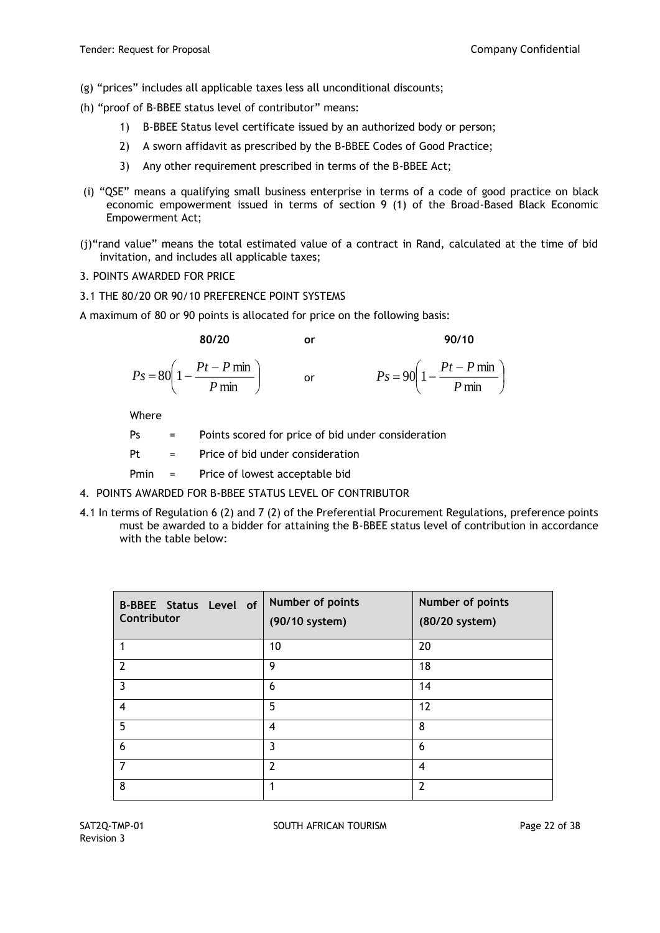- (g) "prices" includes all applicable taxes less all unconditional discounts;
- (h) "proof of B-BBEE status level of contributor" means:
	- 1) B-BBEE Status level certificate issued by an authorized body or person;
	- 2) A sworn affidavit as prescribed by the B-BBEE Codes of Good Practice;
	- 3) Any other requirement prescribed in terms of the B-BBEE Act;
- (i) "QSE" means a qualifying small business enterprise in terms of a code of good practice on black economic empowerment issued in terms of section 9 (1) of the Broad-Based Black Economic Empowerment Act;
- (j)"rand value" means the total estimated value of a contract in Rand, calculated at the time of bid invitation, and includes all applicable taxes;
- 3. POINTS AWARDED FOR PRICE
- 3.1 THE 80/20 OR 90/10 PREFERENCE POINT SYSTEMS
- A maximum of 80 or 90 points is allocated for price on the following basis:

80/20 or 90/10  
\n
$$
P_s = 80 \left( 1 - \frac{Pt - P \min}{P \min} \right) \qquad \text{or} \qquad P_s = 90 \left( 1 - \frac{Pt - P \min}{P \min} \right)
$$

Where

- Ps = Points scored for price of bid under consideration
- Pt = Price of bid under consideration
- Pmin = Price of lowest acceptable bid
- 4. POINTS AWARDED FOR B-BBEE STATUS LEVEL OF CONTRIBUTOR
- 4.1 In terms of Regulation 6 (2) and 7 (2) of the Preferential Procurement Regulations, preference points must be awarded to a bidder for attaining the B-BBEE status level of contribution in accordance with the table below:

| <b>B-BBEE Status Level of</b><br>Contributor | Number of points<br>(90/10 system) | Number of points<br>(80/20 system) |
|----------------------------------------------|------------------------------------|------------------------------------|
|                                              | 10                                 | 20                                 |
| $\overline{z}$                               | 9                                  | 18                                 |
| $\overline{3}$                               | 6                                  | 14                                 |
| $\overline{4}$                               | 5                                  | 12                                 |
| 5                                            | 4                                  | 8                                  |
| 6                                            | 3                                  | 6                                  |
| $\overline{7}$                               | $\overline{2}$                     | 4                                  |
| 8                                            | 1                                  | $\overline{2}$                     |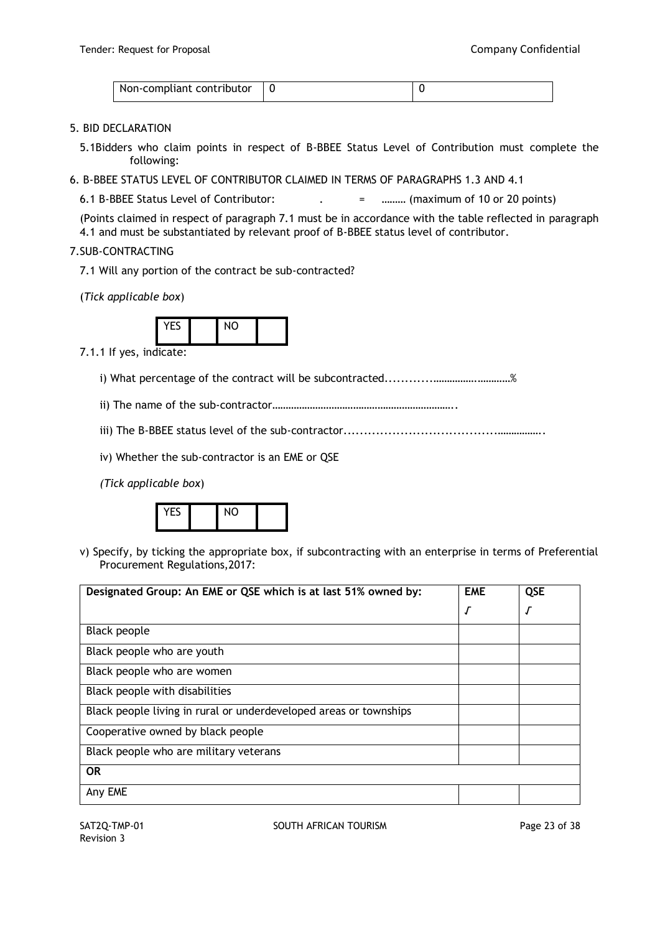| Non-compliant contributor |  |
|---------------------------|--|

### 5. BID DECLARATION

- 5.1Bidders who claim points in respect of B-BBEE Status Level of Contribution must complete the following:
- 6. B-BBEE STATUS LEVEL OF CONTRIBUTOR CLAIMED IN TERMS OF PARAGRAPHS 1.3 AND 4.1

6.1 B-BBEE Status Level of Contributor: . = ……… (maximum of 10 or 20 points)

(Points claimed in respect of paragraph 7.1 must be in accordance with the table reflected in paragraph 4.1 and must be substantiated by relevant proof of B-BBEE status level of contributor.

#### 7.SUB-CONTRACTING

7.1 Will any portion of the contract be sub-contracted?

(*Tick applicable box*)



7.1.1 If yes, indicate:

i) What percentage of the contract will be subcontracted............…………….…………%

ii) The name of the sub-contractor…………………………………………………………..

iii) The B-BBEE status level of the sub-contractor......................................……………..

iv) Whether the sub-contractor is an EME or QSE

*(Tick applicable box*)



v) Specify, by ticking the appropriate box, if subcontracting with an enterprise in terms of Preferential Procurement Regulations,2017:

| Designated Group: An EME or QSE which is at last 51% owned by:    | <b>EME</b> | <b>QSE</b> |
|-------------------------------------------------------------------|------------|------------|
|                                                                   | √          | J          |
| <b>Black people</b>                                               |            |            |
| Black people who are youth                                        |            |            |
| Black people who are women                                        |            |            |
| Black people with disabilities                                    |            |            |
| Black people living in rural or underdeveloped areas or townships |            |            |
| Cooperative owned by black people                                 |            |            |
| Black people who are military veterans                            |            |            |
| <b>OR</b>                                                         |            |            |
| Any EME                                                           |            |            |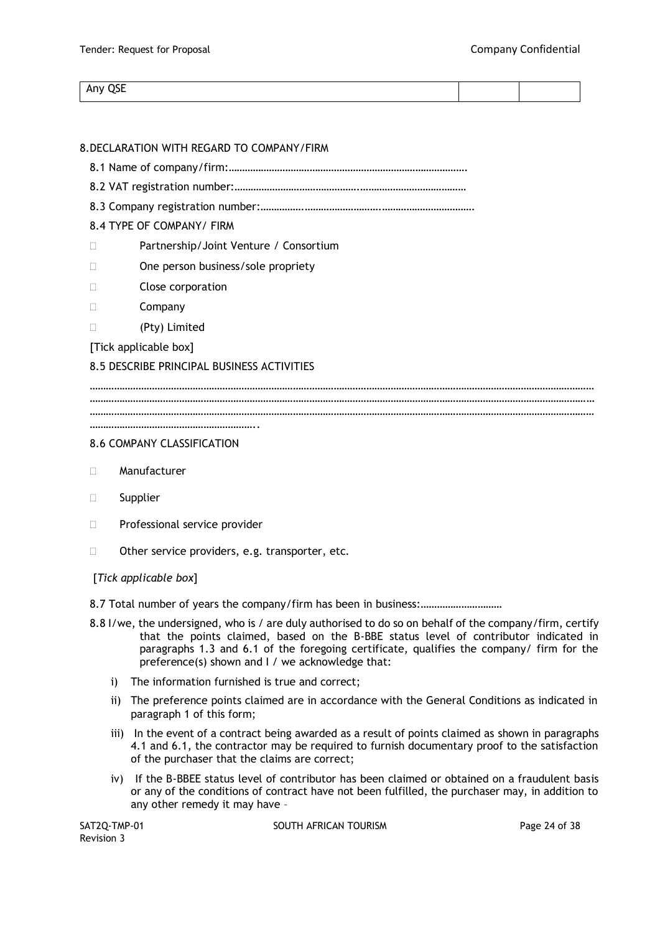#### Any QSE

# 8.DECLARATION WITH REGARD TO COMPANY/FIRM

- 8.1 Name of company/firm:…………………………………………………………………………….
- 8.2 VAT registration number:……………………………………….…………………………………
- 8.3 Company registration number:…………….……………………….…………………………….

# 8.4 TYPE OF COMPANY/ FIRM

- □ Partnership/Joint Venture / Consortium
- □ One person business/sole propriety
- Close corporation
- Company
- (Pty) Limited

[Tick applicable box]

### 8.5 DESCRIBE PRINCIPAL BUSINESS ACTIVITIES

…………………………………………………………………………………………………………………………………………………………………… …………………………………………………………………………………………………………………………………………………………………… …………………………………………………………………………………………………………………………………………………………………… ……………………………………………………..

#### 8.6 COMPANY CLASSIFICATION

- Manufacturer
- Supplier
- D Professional service provider
- □ Other service providers, e.g. transporter, etc.

### [*Tick applicable box*]

8.7 Total number of years the company/firm has been in business:…………………………

- 8.8 I/we, the undersigned, who is / are duly authorised to do so on behalf of the company/firm, certify that the points claimed, based on the B-BBE status level of contributor indicated in paragraphs 1.3 and 6.1 of the foregoing certificate, qualifies the company/ firm for the preference(s) shown and I / we acknowledge that:
	- i) The information furnished is true and correct;
	- ii) The preference points claimed are in accordance with the General Conditions as indicated in paragraph 1 of this form;
	- iii) In the event of a contract being awarded as a result of points claimed as shown in paragraphs 4.1 and 6.1, the contractor may be required to furnish documentary proof to the satisfaction of the purchaser that the claims are correct;
	- iv) If the B-BBEE status level of contributor has been claimed or obtained on a fraudulent basis or any of the conditions of contract have not been fulfilled, the purchaser may, in addition to any other remedy it may have –

Revision 3

SAT2O-TMP-01 SOUTH AFRICAN TOURISM SAT2O-TMP-01 Page 24 of 38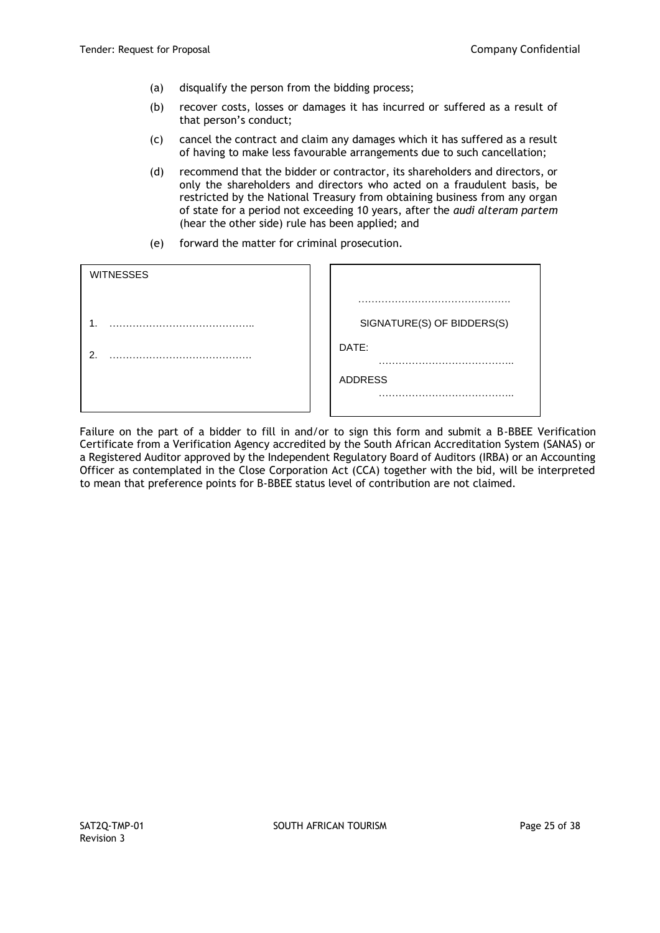- (a) disqualify the person from the bidding process;
- (b) recover costs, losses or damages it has incurred or suffered as a result of that person's conduct;
- (c) cancel the contract and claim any damages which it has suffered as a result of having to make less favourable arrangements due to such cancellation;
- (d) recommend that the bidder or contractor, its shareholders and directors, or only the shareholders and directors who acted on a fraudulent basis, be restricted by the National Treasury from obtaining business from any organ of state for a period not exceeding 10 years, after the *audi alteram partem* (hear the other side) rule has been applied; and
- (e) forward the matter for criminal prosecution.

| <b>WITNESSES</b> |                            |
|------------------|----------------------------|
| .                | SIGNATURE(S) OF BIDDERS(S) |
| 2.               | DATE:<br>.                 |
|                  | <b>ADDRESS</b><br>.        |

Failure on the part of a bidder to fill in and/or to sign this form and submit a B-BBEE Verification Certificate from a Verification Agency accredited by the South African Accreditation System (SANAS) or a Registered Auditor approved by the Independent Regulatory Board of Auditors (IRBA) or an Accounting Officer as contemplated in the Close Corporation Act (CCA) together with the bid, will be interpreted to mean that preference points for B-BBEE status level of contribution are not claimed.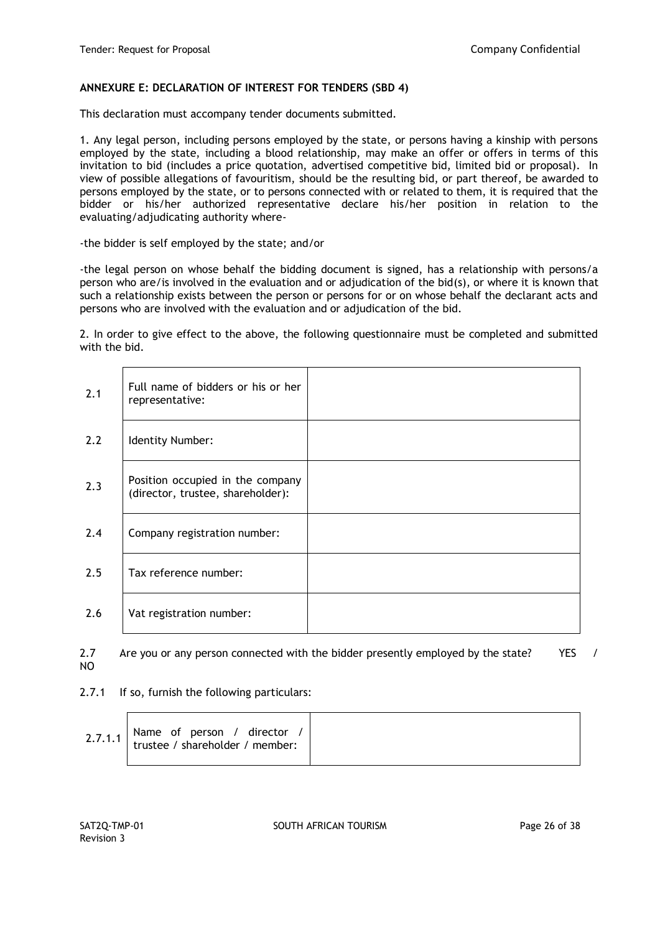### **ANNEXURE E: DECLARATION OF INTEREST FOR TENDERS (SBD 4)**

This declaration must accompany tender documents submitted.

1. Any legal person, including persons employed by the state, or persons having a kinship with persons employed by the state, including a blood relationship, may make an offer or offers in terms of this invitation to bid (includes a price quotation, advertised competitive bid, limited bid or proposal). In view of possible allegations of favouritism, should be the resulting bid, or part thereof, be awarded to persons employed by the state, or to persons connected with or related to them, it is required that the bidder or his/her authorized representative declare his/her position in relation to the evaluating/adjudicating authority where-

-the bidder is self employed by the state; and/or

-the legal person on whose behalf the bidding document is signed, has a relationship with persons/a person who are/is involved in the evaluation and or adjudication of the bid(s), or where it is known that such a relationship exists between the person or persons for or on whose behalf the declarant acts and persons who are involved with the evaluation and or adjudication of the bid.

2. In order to give effect to the above, the following questionnaire must be completed and submitted with the bid.

| 2.1 | Full name of bidders or his or her<br>representative:                 |  |
|-----|-----------------------------------------------------------------------|--|
| 2.2 | Identity Number:                                                      |  |
| 2.3 | Position occupied in the company<br>(director, trustee, shareholder): |  |
| 2.4 | Company registration number:                                          |  |
| 2.5 | Tax reference number:                                                 |  |
| 2.6 | Vat registration number:                                              |  |

|    | 2.7 Are you or any person connected with the bidder presently employed by the state? | YES / |  |
|----|--------------------------------------------------------------------------------------|-------|--|
| NO |                                                                                      |       |  |

2.7.1 If so, furnish the following particulars:

|--|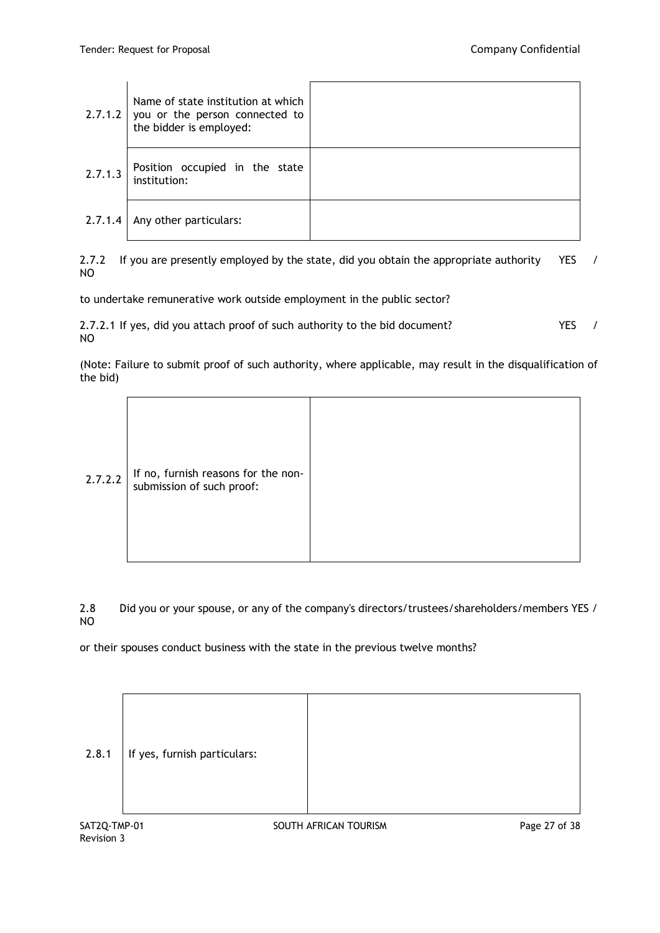|         | Name of state institution at which<br>2.7.1.2 you or the person connected to<br>the bidder is employed: |  |
|---------|---------------------------------------------------------------------------------------------------------|--|
| 2.7.1.3 | Position occupied in the state<br>institution:                                                          |  |
| 2.7.1.4 | Any other particulars:                                                                                  |  |

2.7.2 If you are presently employed by the state, did you obtain the appropriate authority YES / NO

to undertake remunerative work outside employment in the public sector?

| 2.7.2.1 If yes, did you attach proof of such authority to the bid document? |  |
|-----------------------------------------------------------------------------|--|
| NO                                                                          |  |

(Note: Failure to submit proof of such authority, where applicable, may result in the disqualification of the bid)

| 2.7.2.2 | If no, furnish reasons for the non-<br>submission of such proof: |  |
|---------|------------------------------------------------------------------|--|
|---------|------------------------------------------------------------------|--|

2.8 Did you or your spouse, or any of the company's directors/trustees/shareholders/members YES / NO

or their spouses conduct business with the state in the previous twelve months?

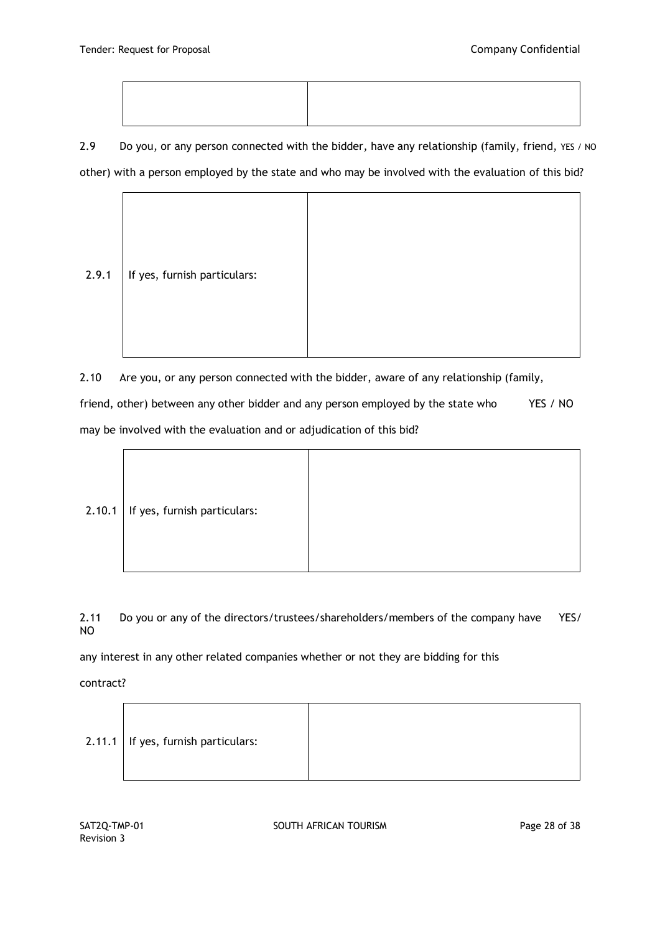2.9 Do you, or any person connected with the bidder, have any relationship (family, friend, YES / NO other) with a person employed by the state and who may be involved with the evaluation of this bid?



2.10 Are you, or any person connected with the bidder, aware of any relationship (family,

friend, other) between any other bidder and any person employed by the state who YES / NO may be involved with the evaluation and or adjudication of this bid?

| $2.10.1$ If yes, furnish particulars: |  |
|---------------------------------------|--|
|                                       |  |

2.11 Do you or any of the directors/trustees/shareholders/members of the company have YES/ NO

any interest in any other related companies whether or not they are bidding for this

contract?

| $2.11.1$ If yes, furnish particulars: |  |
|---------------------------------------|--|
|---------------------------------------|--|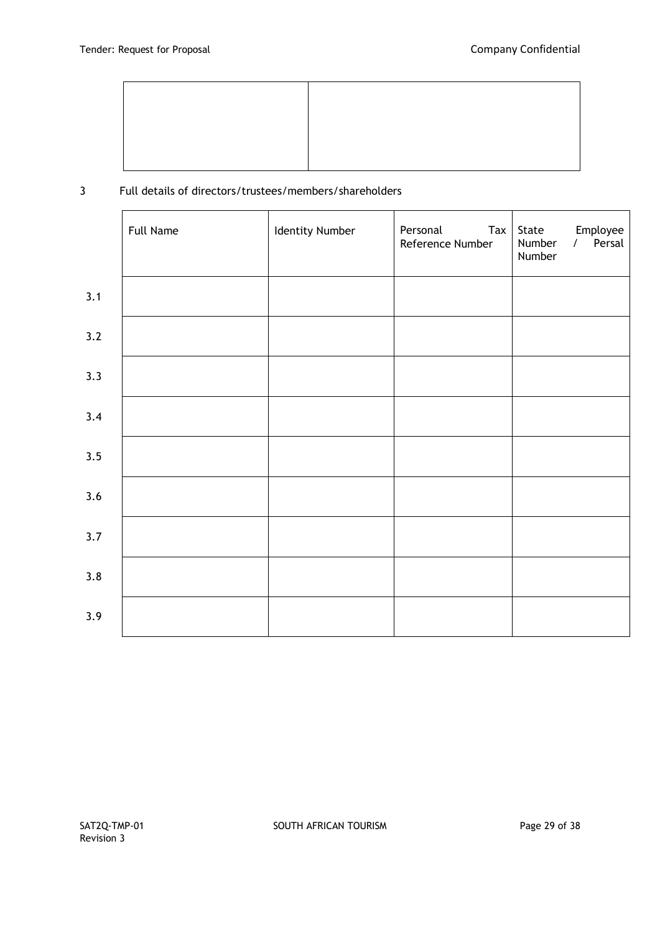

# 3 Full details of directors/trustees/members/shareholders

|     | <b>Full Name</b> | Identity Number | Personal<br>$\mathsf{Tax}$<br>Reference Number | Employee<br>State<br>/ Persal<br>Number<br>Number |
|-----|------------------|-----------------|------------------------------------------------|---------------------------------------------------|
| 3.1 |                  |                 |                                                |                                                   |
| 3.2 |                  |                 |                                                |                                                   |
| 3.3 |                  |                 |                                                |                                                   |
| 3.4 |                  |                 |                                                |                                                   |
| 3.5 |                  |                 |                                                |                                                   |
| 3.6 |                  |                 |                                                |                                                   |
| 3.7 |                  |                 |                                                |                                                   |
| 3.8 |                  |                 |                                                |                                                   |
| 3.9 |                  |                 |                                                |                                                   |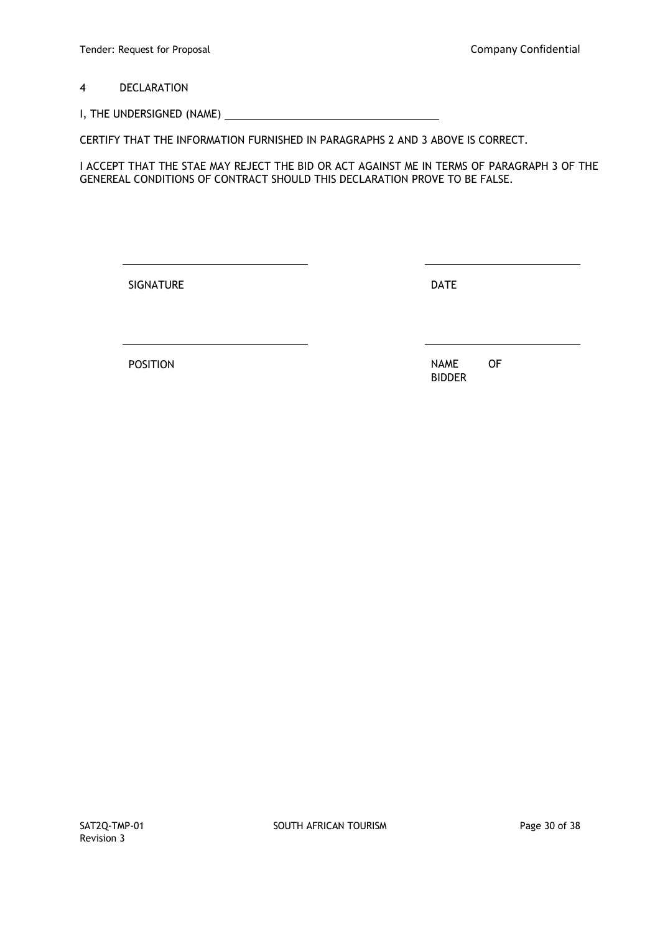4 DECLARATION

I, THE UNDERSIGNED (NAME)

CERTIFY THAT THE INFORMATION FURNISHED IN PARAGRAPHS 2 AND 3 ABOVE IS CORRECT.

I ACCEPT THAT THE STAE MAY REJECT THE BID OR ACT AGAINST ME IN TERMS OF PARAGRAPH 3 OF THE GENEREAL CONDITIONS OF CONTRACT SHOULD THIS DECLARATION PROVE TO BE FALSE.

SIGNATURE DATE

POSITION NAME OF BIDDER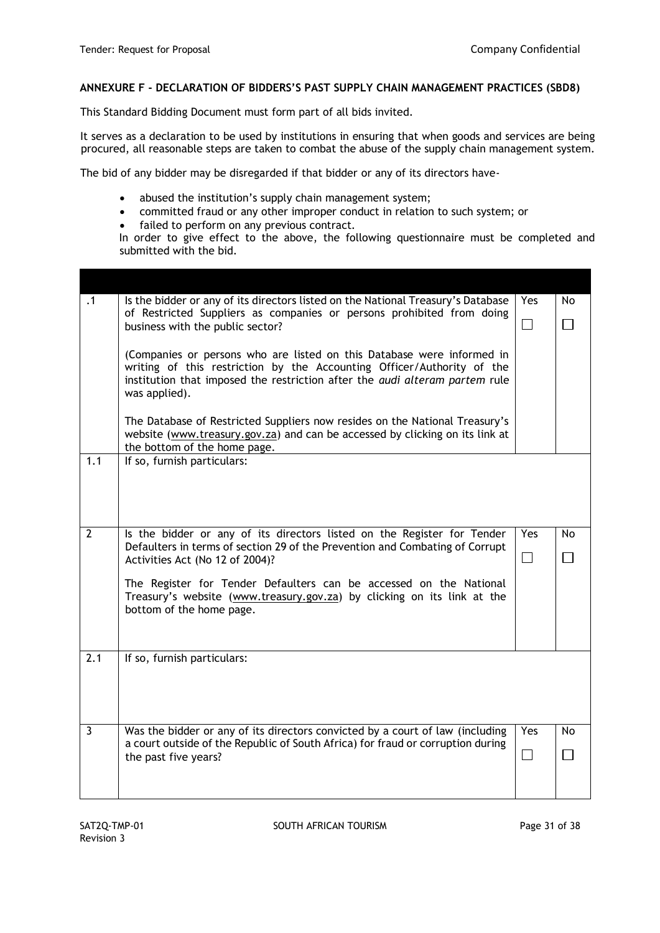#### **ANNEXURE F - DECLARATION OF BIDDERS'S PAST SUPPLY CHAIN MANAGEMENT PRACTICES (SBD8)**

This Standard Bidding Document must form part of all bids invited.

It serves as a declaration to be used by institutions in ensuring that when goods and services are being procured, all reasonable steps are taken to combat the abuse of the supply chain management system.

The bid of any bidder may be disregarded if that bidder or any of its directors have-

- abused the institution's supply chain management system;
- committed fraud or any other improper conduct in relation to such system; or
- failed to perform on any previous contract.

In order to give effect to the above, the following questionnaire must be completed and submitted with the bid.

| $\cdot$ 1      | Is the bidder or any of its directors listed on the National Treasury's Database                                                                 | Yes    | No     |
|----------------|--------------------------------------------------------------------------------------------------------------------------------------------------|--------|--------|
|                | of Restricted Suppliers as companies or persons prohibited from doing<br>business with the public sector?                                        | $\Box$ | $\Box$ |
|                |                                                                                                                                                  |        |        |
|                | (Companies or persons who are listed on this Database were informed in<br>writing of this restriction by the Accounting Officer/Authority of the |        |        |
|                | institution that imposed the restriction after the audi alteram partem rule                                                                      |        |        |
|                | was applied).                                                                                                                                    |        |        |
|                | The Database of Restricted Suppliers now resides on the National Treasury's                                                                      |        |        |
|                | website (www.treasury.gov.za) and can be accessed by clicking on its link at                                                                     |        |        |
| 1.1            | the bottom of the home page.<br>If so, furnish particulars:                                                                                      |        |        |
|                |                                                                                                                                                  |        |        |
|                |                                                                                                                                                  |        |        |
|                |                                                                                                                                                  |        |        |
| $\overline{2}$ | Is the bidder or any of its directors listed on the Register for Tender                                                                          | Yes    | No.    |
|                | Defaulters in terms of section 29 of the Prevention and Combating of Corrupt<br>Activities Act (No 12 of 2004)?                                  | П      | П      |
|                |                                                                                                                                                  |        |        |
|                | The Register for Tender Defaulters can be accessed on the National<br>Treasury's website (www.treasury.gov.za) by clicking on its link at the    |        |        |
|                | bottom of the home page.                                                                                                                         |        |        |
|                |                                                                                                                                                  |        |        |
| 2.1            |                                                                                                                                                  |        |        |
|                | If so, furnish particulars:                                                                                                                      |        |        |
|                |                                                                                                                                                  |        |        |
|                |                                                                                                                                                  |        |        |
| $\mathbf{3}$   | Was the bidder or any of its directors convicted by a court of law (including                                                                    | Yes    | No     |
|                | a court outside of the Republic of South Africa) for fraud or corruption during                                                                  |        |        |
|                | the past five years?                                                                                                                             | П      | П      |
|                |                                                                                                                                                  |        |        |
|                |                                                                                                                                                  |        |        |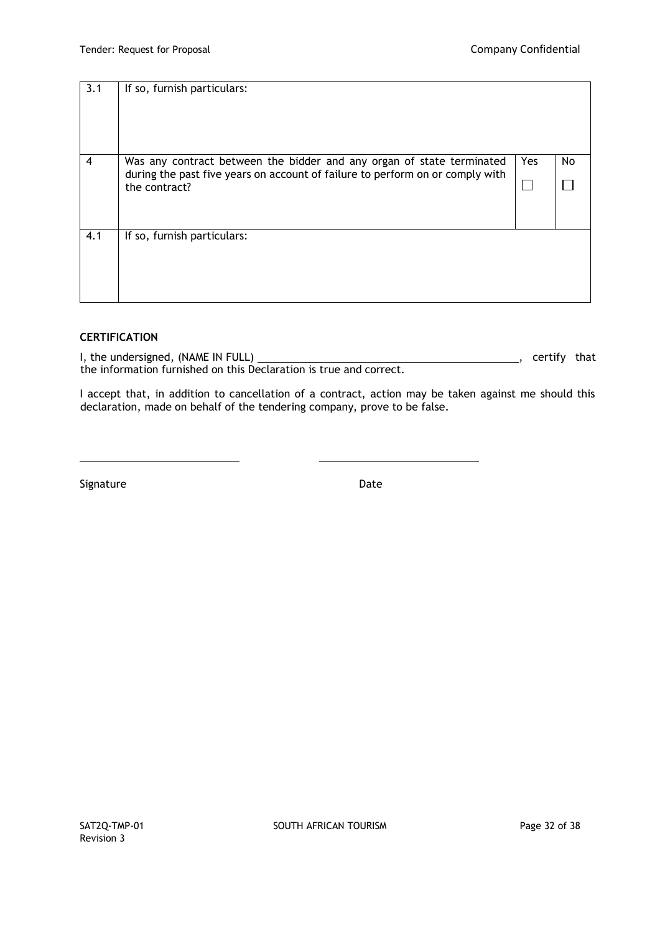| 3.1            | If so, furnish particulars:                                                                                                                                             |     |    |
|----------------|-------------------------------------------------------------------------------------------------------------------------------------------------------------------------|-----|----|
| $\overline{4}$ | Was any contract between the bidder and any organ of state terminated<br>during the past five years on account of failure to perform on or comply with<br>the contract? | Yes | No |
| 4.1            | If so, furnish particulars:                                                                                                                                             |     |    |

# **CERTIFICATION**

I, the undersigned, (NAME IN FULL) Manufactured and the understanding that that the understanding that the understanding that the understanding that the understanding that the understanding that the understanding that the the information furnished on this Declaration is true and correct.

I accept that, in addition to cancellation of a contract, action may be taken against me should this declaration, made on behalf of the tendering company, prove to be false.

Signature Date Date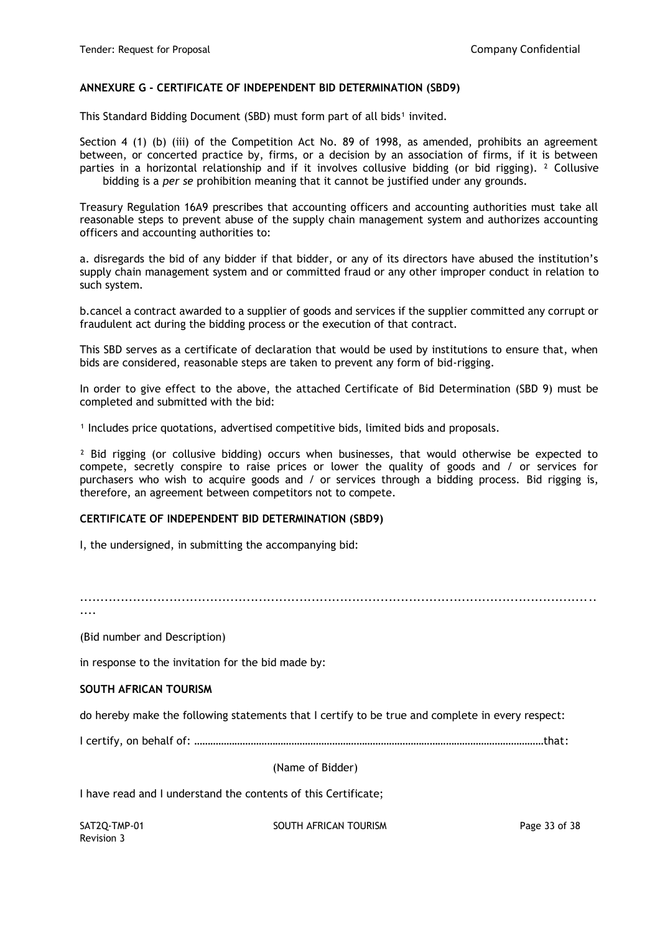#### **ANNEXURE G - CERTIFICATE OF INDEPENDENT BID DETERMINATION (SBD9)**

This Standard Bidding Document (SBD) must form part of all bids<sup>1</sup> invited.

Section 4 (1) (b) (iii) of the Competition Act No. 89 of 1998, as amended, prohibits an agreement between, or concerted practice by, firms, or a decision by an association of firms, if it is between parties in a horizontal relationship and if it involves collusive bidding (or bid rigging). ² Collusive bidding is a *per se* prohibition meaning that it cannot be justified under any grounds.

Treasury Regulation 16A9 prescribes that accounting officers and accounting authorities must take all reasonable steps to prevent abuse of the supply chain management system and authorizes accounting officers and accounting authorities to:

a. disregards the bid of any bidder if that bidder, or any of its directors have abused the institution's supply chain management system and or committed fraud or any other improper conduct in relation to such system.

b.cancel a contract awarded to a supplier of goods and services if the supplier committed any corrupt or fraudulent act during the bidding process or the execution of that contract.

This SBD serves as a certificate of declaration that would be used by institutions to ensure that, when bids are considered, reasonable steps are taken to prevent any form of bid-rigging.

In order to give effect to the above, the attached Certificate of Bid Determination (SBD 9) must be completed and submitted with the bid:

<sup>1</sup> Includes price quotations, advertised competitive bids, limited bids and proposals.

<sup>2</sup> Bid rigging (or collusive bidding) occurs when businesses, that would otherwise be expected to compete, secretly conspire to raise prices or lower the quality of goods and / or services for purchasers who wish to acquire goods and / or services through a bidding process. Bid rigging is, therefore, an agreement between competitors not to compete.

### **CERTIFICATE OF INDEPENDENT BID DETERMINATION (SBD9)**

I, the undersigned, in submitting the accompanying bid:

...............................................................................................................................

....

(Bid number and Description)

in response to the invitation for the bid made by:

### **SOUTH AFRICAN TOURISM**

do hereby make the following statements that I certify to be true and complete in every respect:

I certify, on behalf of: …………………………………………………………………………………………………………………that:

(Name of Bidder)

I have read and I understand the contents of this Certificate;

Revision 3

SAT2O-TMP-01 SOUTH AFRICAN TOURISM SAT2O-TMP-01 Page 33 of 38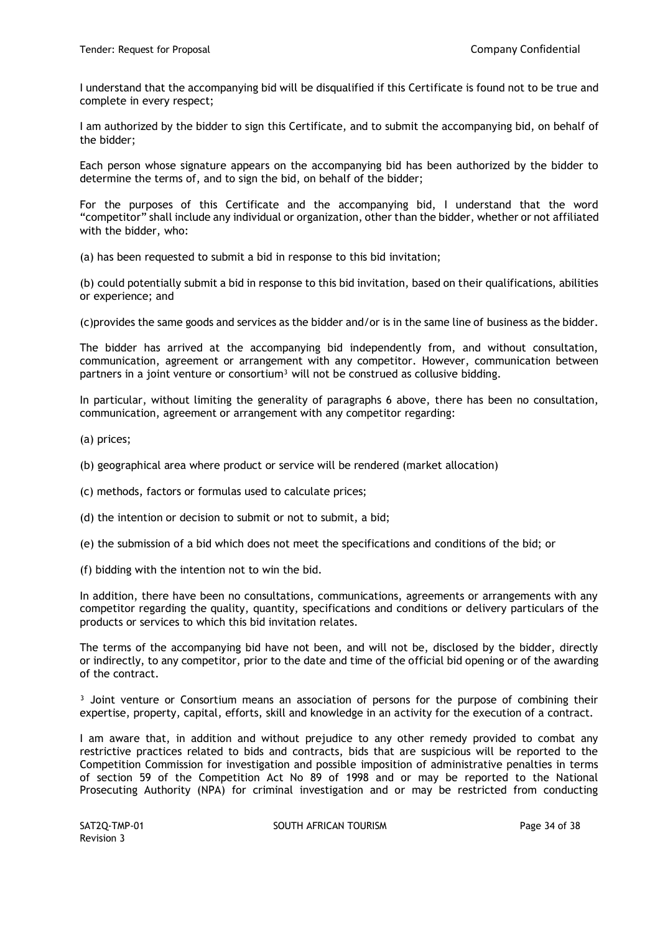I understand that the accompanying bid will be disqualified if this Certificate is found not to be true and complete in every respect;

I am authorized by the bidder to sign this Certificate, and to submit the accompanying bid, on behalf of the bidder;

Each person whose signature appears on the accompanying bid has been authorized by the bidder to determine the terms of, and to sign the bid, on behalf of the bidder;

For the purposes of this Certificate and the accompanying bid, I understand that the word "competitor" shall include any individual or organization, other than the bidder, whether or not affiliated with the bidder, who:

(a) has been requested to submit a bid in response to this bid invitation;

(b) could potentially submit a bid in response to this bid invitation, based on their qualifications, abilities or experience; and

(c)provides the same goods and services as the bidder and/or is in the same line of business as the bidder.

The bidder has arrived at the accompanying bid independently from, and without consultation, communication, agreement or arrangement with any competitor. However, communication between partners in a joint venture or consortium<sup>3</sup> will not be construed as collusive bidding.

In particular, without limiting the generality of paragraphs 6 above, there has been no consultation, communication, agreement or arrangement with any competitor regarding:

(a) prices;

(b) geographical area where product or service will be rendered (market allocation)

(c) methods, factors or formulas used to calculate prices;

(d) the intention or decision to submit or not to submit, a bid;

(e) the submission of a bid which does not meet the specifications and conditions of the bid; or

(f) bidding with the intention not to win the bid.

In addition, there have been no consultations, communications, agreements or arrangements with any competitor regarding the quality, quantity, specifications and conditions or delivery particulars of the products or services to which this bid invitation relates.

The terms of the accompanying bid have not been, and will not be, disclosed by the bidder, directly or indirectly, to any competitor, prior to the date and time of the official bid opening or of the awarding of the contract.

<sup>3</sup> Joint venture or Consortium means an association of persons for the purpose of combining their expertise, property, capital, efforts, skill and knowledge in an activity for the execution of a contract.

I am aware that, in addition and without prejudice to any other remedy provided to combat any restrictive practices related to bids and contracts, bids that are suspicious will be reported to the Competition Commission for investigation and possible imposition of administrative penalties in terms of section 59 of the Competition Act No 89 of 1998 and or may be reported to the National Prosecuting Authority (NPA) for criminal investigation and or may be restricted from conducting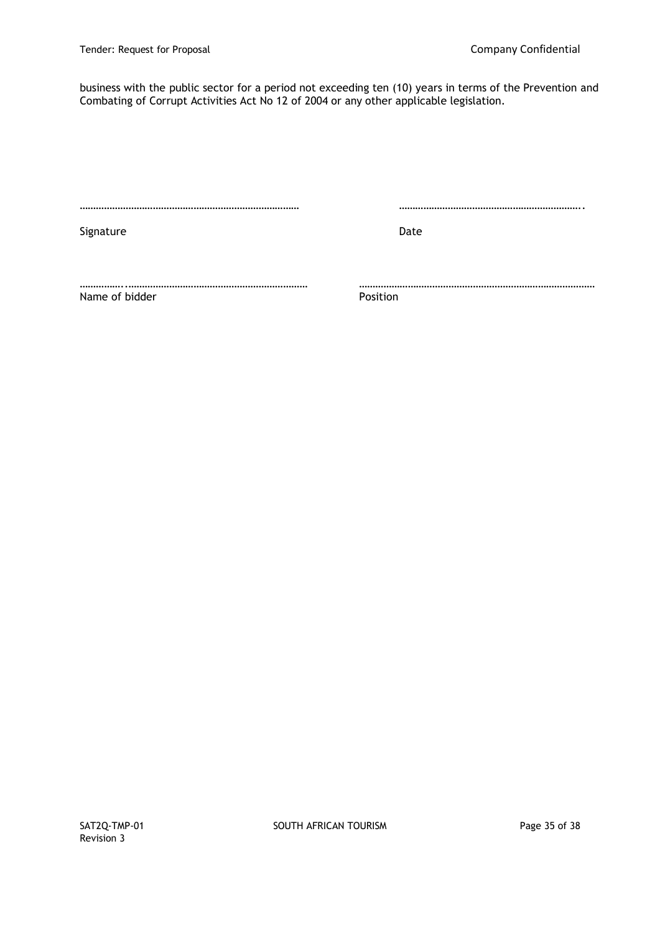business with the public sector for a period not exceeding ten (10) years in terms of the Prevention and Combating of Corrupt Activities Act No 12 of 2004 or any other applicable legislation.

……………………………………………………………………… …………………………………………………………..

Signature Date Date Date

……………..………………………………………………………… …………………………………………………………………………… Name of bidder **Position**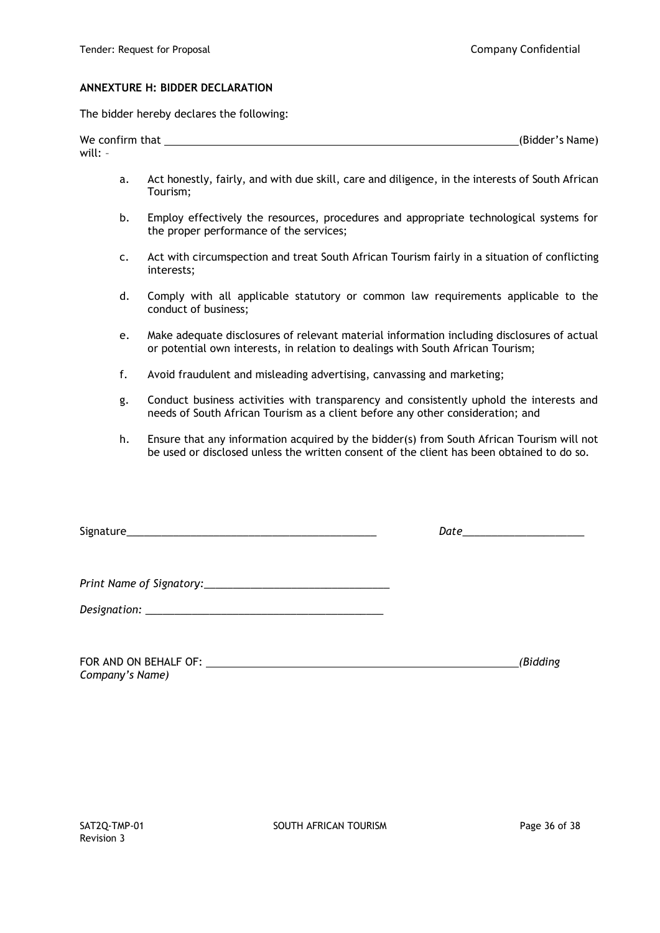#### **ANNEXTURE H: BIDDER DECLARATION**

The bidder hereby declares the following:

| We confirm that | (Bidder's Name) |
|-----------------|-----------------|
| will:           |                 |

- a. Act honestly, fairly, and with due skill, care and diligence, in the interests of South African Tourism;
- b. Employ effectively the resources, procedures and appropriate technological systems for the proper performance of the services;
- c. Act with circumspection and treat South African Tourism fairly in a situation of conflicting interests;
- d. Comply with all applicable statutory or common law requirements applicable to the conduct of business;
- e. Make adequate disclosures of relevant material information including disclosures of actual or potential own interests, in relation to dealings with South African Tourism;
- f. Avoid fraudulent and misleading advertising, canvassing and marketing;
- g. Conduct business activities with transparency and consistently uphold the interests and needs of South African Tourism as a client before any other consideration; and
- h. Ensure that any information acquired by the bidder(s) from South African Tourism will not be used or disclosed unless the written consent of the client has been obtained to do so.

Signature\_\_\_\_\_\_\_\_\_\_\_\_\_\_\_\_\_\_\_\_\_\_\_\_\_\_\_\_\_\_\_\_\_\_\_\_\_\_\_\_\_\_\_ *Date*\_\_\_\_\_\_\_\_\_\_\_\_\_\_\_\_\_\_\_\_\_

*Print Name of Signatory:\_\_\_\_\_\_\_\_\_\_\_\_\_\_\_\_\_\_\_\_\_\_\_\_\_\_\_\_\_\_\_\_*

*Designation: \_\_\_\_\_\_\_\_\_\_\_\_\_\_\_\_\_\_\_\_\_\_\_\_\_\_\_\_\_\_\_\_\_\_\_\_\_\_\_\_\_*

| FOR AND ON BEHALF OF: | (Bidding |
|-----------------------|----------|
| Company's Name)       |          |